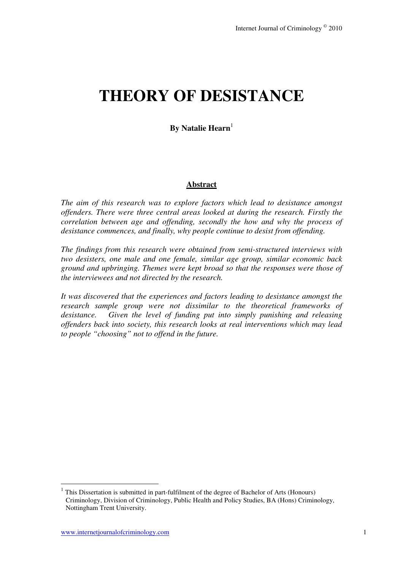# **THEORY OF DESISTANCE**

### **By Natalie Hearn**<sup>1</sup>

#### **Abstract**

*The aim of this research was to explore factors which lead to desistance amongst offenders. There were three central areas looked at during the research. Firstly the correlation between age and offending, secondly the how and why the process of desistance commences, and finally, why people continue to desist from offending.* 

*The findings from this research were obtained from semi-structured interviews with two desisters, one male and one female, similar age group, similar economic back ground and upbringing. Themes were kept broad so that the responses were those of the interviewees and not directed by the research.* 

*It was discovered that the experiences and factors leading to desistance amongst the research sample group were not dissimilar to the theoretical frameworks of desistance. Given the level of funding put into simply punishing and releasing offenders back into society, this research looks at real interventions which may lead to people "choosing" not to offend in the future.* 

 $\overline{a}$ 

 $<sup>1</sup>$  This Dissertation is submitted in part-fulfilment of the degree of Bachelor of Arts (Honours)</sup> Criminology, Division of Criminology, Public Health and Policy Studies, BA (Hons) Criminology, Nottingham Trent University.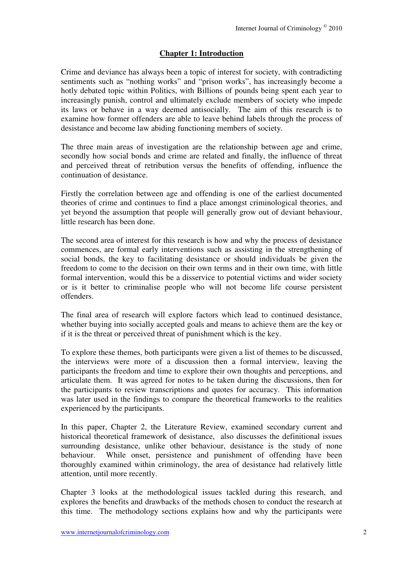# **Chapter 1: Introduction**

Crime and deviance has always been a topic of interest for society, with contradicting sentiments such as "nothing works" and "prison works", has increasingly become a hotly debated topic within Politics, with Billions of pounds being spent each year to increasingly punish, control and ultimately exclude members of society who impede its laws or behave in a way deemed antisocially. The aim of this research is to examine how former offenders are able to leave behind labels through the process of desistance and become law abiding functioning members of society.

The three main areas of investigation are the relationship between age and crime, secondly how social bonds and crime are related and finally, the influence of threat and perceived threat of retribution versus the benefits of offending, influence the continuation of desistance.

Firstly the correlation between age and offending is one of the earliest documented theories of crime and continues to find a place amongst criminological theories, and yet beyond the assumption that people will generally grow out of deviant behaviour, little research has been done.

The second area of interest for this research is how and why the process of desistance commences, are formal early interventions such as assisting in the strengthening of social bonds, the key to facilitating desistance or should individuals be given the freedom to come to the decision on their own terms and in their own time, with little formal intervention, would this be a disservice to potential victims and wider society or is it better to criminalise people who will not become life course persistent offenders.

The final area of research will explore factors which lead to continued desistance, whether buying into socially accepted goals and means to achieve them are the key or if it is the threat or perceived threat of punishment which is the key.

To explore these themes, both participants were given a list of themes to be discussed, the interviews were more of a discussion then a formal interview, leaving the participants the freedom and time to explore their own thoughts and perceptions, and articulate them. It was agreed for notes to be taken during the discussions, then for the participants to review transcriptions and quotes for accuracy. This information was later used in the findings to compare the theoretical frameworks to the realities experienced by the participants.

In this paper, Chapter 2, the Literature Review, examined secondary current and historical theoretical framework of desistance, also discusses the definitional issues surrounding desistance, unlike other behaviour, desistance is the study of none behaviour. While onset, persistence and punishment of offending have been thoroughly examined within criminology, the area of desistance had relatively little attention, until more recently.

Chapter 3 looks at the methodological issues tackled during this research, and explores the benefits and drawbacks of the methods chosen to conduct the research at this time. The methodology sections explains how and why the participants were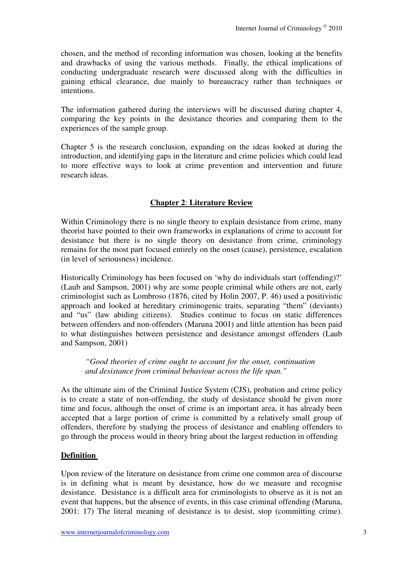chosen, and the method of recording information was chosen, looking at the benefits and drawbacks of using the various methods. Finally, the ethical implications of conducting undergraduate research were discussed along with the difficulties in gaining ethical clearance, due mainly to bureaucracy rather than techniques or intentions.

The information gathered during the interviews will be discussed during chapter 4, comparing the key points in the desistance theories and comparing them to the experiences of the sample group.

Chapter 5 is the research conclusion, expanding on the ideas looked at during the introduction, and identifying gaps in the literature and crime policies which could lead to more effective ways to look at crime prevention and intervention and future research ideas.

### **Chapter 2**: **Literature Review**

Within Criminology there is no single theory to explain desistance from crime, many theorist have pointed to their own frameworks in explanations of crime to account for desistance but there is no single theory on desistance from crime, criminology remains for the most part focused entirely on the onset (cause), persistence, escalation (in level of seriousness) incidence.

Historically Criminology has been focused on 'why do individuals start (offending)?' (Laub and Sampson, 2001) why are some people criminal while others are not, early criminologist such as Lombroso (1876, cited by Holin 2007, P. 46) used a positivistic approach and looked at hereditary criminogenic traits, separating "them" (deviants) and "us" (law abiding citizens). Studies continue to focus on static differences between offenders and non-offenders (Maruna 2001) and little attention has been paid to what distinguishes between persistence and desistance amongst offenders (Laub and Sampson, 2001)

*"Good theories of crime ought to account for the onset, continuation and desistance from criminal behaviour across the life span."* 

As the ultimate aim of the Criminal Justice System (CJS), probation and crime policy is to create a state of non-offending, the study of desistance should be given more time and focus, although the onset of crime is an important area, it has already been accepted that a large portion of crime is committed by a relatively small group of offenders, therefore by studying the process of desistance and enabling offenders to go through the process would in theory bring about the largest reduction in offending

### **Definition**

Upon review of the literature on desistance from crime one common area of discourse is in defining what is meant by desistance, how do we measure and recognise desistance. Desistance is a difficult area for criminologists to observe as it is not an event that happens, but the absence of events, in this case criminal offending (Maruna, 2001: 17) The literal meaning of desistance is to desist, stop (committing crime).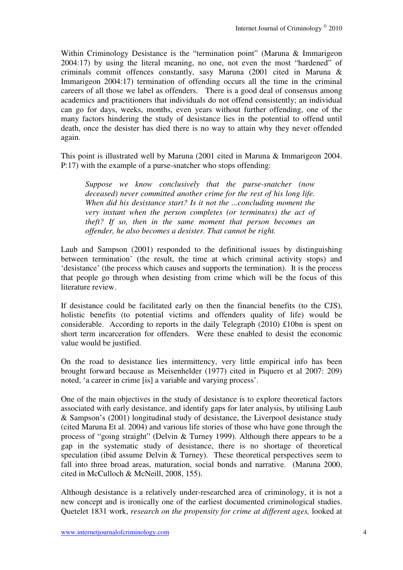Within Criminology Desistance is the "termination point" (Maruna & Immarigeon 2004:17) by using the literal meaning, no one, not even the most "hardened" of criminals commit offences constantly, sasy Maruna (2001 cited in Maruna & Immarigeon 2004:17) termination of offending occurs all the time in the criminal careers of all those we label as offenders. There is a good deal of consensus among academics and practitioners that individuals do not offend consistently; an individual can go for days, weeks, months, even years without further offending, one of the many factors hindering the study of desistance lies in the potential to offend until death, once the desister has died there is no way to attain why they never offended again.

This point is illustrated well by Maruna (2001 cited in Maruna & Immarigeon 2004. P:17) with the example of a purse-snatcher who stops offending:

*Suppose we know conclusively that the purse-snatcher (now deceased) never committed another crime for the rest of his long life. When did his desistance start? Is it not the ...concluding moment the very instant when the person completes (or terminates) the act of theft? If so, then in the same moment that person becomes an offender, he also becomes a desister. That cannot be right.* 

Laub and Sampson (2001) responded to the definitional issues by distinguishing between termination' (the result, the time at which criminal activity stops) and 'desistance' (the process which causes and supports the termination). It is the process that people go through when desisting from crime which will be the focus of this literature review.

If desistance could be facilitated early on then the financial benefits (to the CJS), holistic benefits (to potential victims and offenders quality of life) would be considerable. According to reports in the daily Telegraph (2010) £10bn is spent on short term incarceration for offenders. Were these enabled to desist the economic value would be justified.

On the road to desistance lies intermittency, very little empirical info has been brought forward because as Meisenhelder (1977) cited in Piquero et al 2007: 209) noted, 'a career in crime [is] a variable and varying process'.

One of the main objectives in the study of desistance is to explore theoretical factors associated with early desistance, and identify gaps for later analysis, by utilising Laub & Sampson's (2001) longitudinal study of desistance, the Liverpool desistance study (cited Maruna Et al. 2004) and various life stories of those who have gone through the process of "going straight" (Delvin & Turney 1999). Although there appears to be a gap in the systematic study of desistance, there is no shortage of theoretical speculation (ibid assume Delvin & Turney). These theoretical perspectives seem to fall into three broad areas, maturation, social bonds and narrative. (Maruna 2000, cited in McCulloch & McNeill, 2008, 155).

Although desistance is a relatively under-researched area of criminology, it is not a new concept and is ironically one of the earliest documented criminological studies. Quetelet 1831 work, *research on the propensity for crime at different ages,* looked at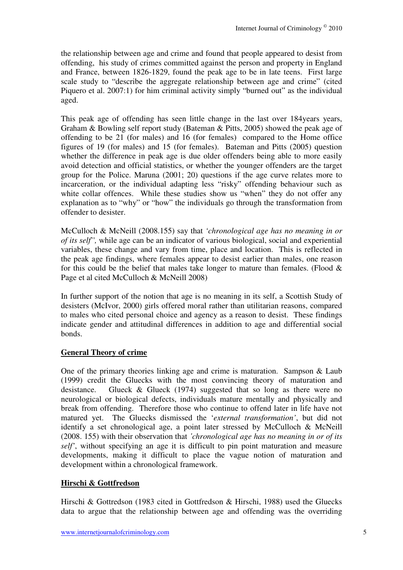the relationship between age and crime and found that people appeared to desist from offending, his study of crimes committed against the person and property in England and France, between 1826-1829, found the peak age to be in late teens. First large scale study to "describe the aggregate relationship between age and crime" (cited Piquero et al. 2007:1) for him criminal activity simply "burned out" as the individual aged.

This peak age of offending has seen little change in the last over 184years years, Graham & Bowling self report study (Bateman & Pitts, 2005) showed the peak age of offending to be 21 (for males) and 16 (for females) compared to the Home office figures of 19 (for males) and 15 (for females). Bateman and Pitts (2005) question whether the difference in peak age is due older offenders being able to more easily avoid detection and official statistics, or whether the younger offenders are the target group for the Police. Maruna (2001; 20) questions if the age curve relates more to incarceration, or the individual adapting less "risky" offending behaviour such as white collar offences. While these studies show us "when" they do not offer any explanation as to "why" or "how" the individuals go through the transformation from offender to desister.

McCulloch & McNeill (2008.155) say that *'chronological age has no meaning in or of its self*''*,* while age can be an indicator of various biological, social and experiential variables, these change and vary from time, place and location. This is reflected in the peak age findings, where females appear to desist earlier than males, one reason for this could be the belief that males take longer to mature than females. (Flood  $\&$ Page et al cited McCulloch & McNeill 2008)

In further support of the notion that age is no meaning in its self, a Scottish Study of desisters (McIvor, 2000) girls offered moral rather than utilitarian reasons, compared to males who cited personal choice and agency as a reason to desist. These findings indicate gender and attitudinal differences in addition to age and differential social bonds.

# **General Theory of crime**

One of the primary theories linking age and crime is maturation. Sampson & Laub (1999) credit the Gluecks with the most convincing theory of maturation and desistance. Glueck & Glueck (1974) suggested that so long as there were no neurological or biological defects, individuals mature mentally and physically and break from offending. Therefore those who continue to offend later in life have not matured yet. The Gluecks dismissed the '*external transformation'*, but did not identify a set chronological age, a point later stressed by McCulloch & McNeill (2008. 155) with their observation that '*chronological age has no meaning in or of its self'*, without specifying an age it is difficult to pin point maturation and measure developments, making it difficult to place the vague notion of maturation and development within a chronological framework.

# **Hirschi & Gottfredson**

Hirschi & Gottredson (1983 cited in Gottfredson & Hirschi, 1988) used the Gluecks data to argue that the relationship between age and offending was the overriding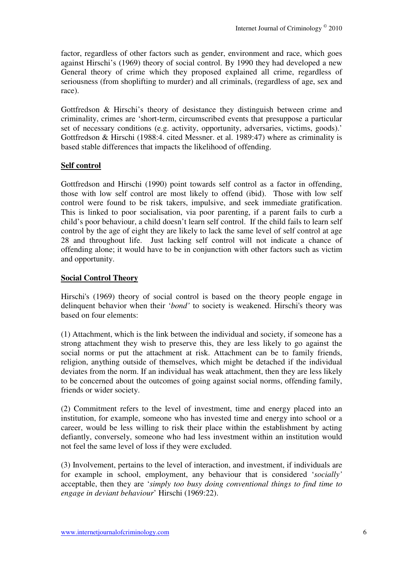factor, regardless of other factors such as gender, environment and race, which goes against Hirschi's (1969) theory of social control. By 1990 they had developed a new General theory of crime which they proposed explained all crime, regardless of seriousness (from shoplifting to murder) and all criminals, (regardless of age, sex and race).

Gottfredson & Hirschi's theory of desistance they distinguish between crime and criminality, crimes are 'short-term, circumscribed events that presuppose a particular set of necessary conditions (e.g. activity, opportunity, adversaries, victims, goods).' Gottfredson & Hirschi (1988:4. cited Messner. et al. 1989:47) where as criminality is based stable differences that impacts the likelihood of offending.

# **Self control**

Gottfredson and Hirschi (1990) point towards self control as a factor in offending, those with low self control are most likely to offend (ibid). Those with low self control were found to be risk takers, impulsive, and seek immediate gratification. This is linked to poor socialisation, via poor parenting, if a parent fails to curb a child's poor behaviour, a child doesn't learn self control. If the child fails to learn self control by the age of eight they are likely to lack the same level of self control at age 28 and throughout life. Just lacking self control will not indicate a chance of offending alone; it would have to be in conjunction with other factors such as victim and opportunity.

### **Social Control Theory**

Hirschi's (1969) theory of social control is based on the theory people engage in delinquent behavior when their '*bond'* to society is weakened. Hirschi's theory was based on four elements:

(1) Attachment, which is the link between the individual and society, if someone has a strong attachment they wish to preserve this, they are less likely to go against the social norms or put the attachment at risk. Attachment can be to family friends, religion, anything outside of themselves, which might be detached if the individual deviates from the norm. If an individual has weak attachment, then they are less likely to be concerned about the outcomes of going against social norms, offending family, friends or wider society.

(2) Commitment refers to the level of investment, time and energy placed into an institution, for example, someone who has invested time and energy into school or a career, would be less willing to risk their place within the establishment by acting defiantly, conversely, someone who had less investment within an institution would not feel the same level of loss if they were excluded.

(3) Involvement, pertains to the level of interaction, and investment, if individuals are for example in school, employment, any behaviour that is considered '*socially'* acceptable, then they are '*simply too busy doing conventional things to find time to engage in deviant behaviour*' Hirschi (1969:22).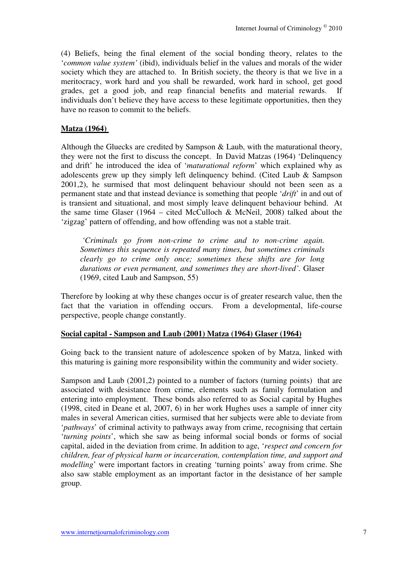(4) Beliefs, being the final element of the social bonding theory, relates to the '*common value system'* (ibid), individuals belief in the values and morals of the wider society which they are attached to. In British society, the theory is that we live in a meritocracy, work hard and you shall be rewarded, work hard in school, get good grades, get a good job, and reap financial benefits and material rewards. If individuals don't believe they have access to these legitimate opportunities, then they have no reason to commit to the beliefs.

#### **Matza (1964)**

Although the Gluecks are credited by Sampson & Laub, with the maturational theory, they were not the first to discuss the concept. In David Matzas (1964) 'Delinquency and drift' he introduced the idea of '*maturational reform*' which explained why as adolescents grew up they simply left delinquency behind. (Cited Laub & Sampson 2001,2), he surmised that most delinquent behaviour should not been seen as a permanent state and that instead deviance is something that people '*drift*' in and out of is transient and situational, and most simply leave delinquent behaviour behind. At the same time Glaser (1964 – cited McCulloch & McNeil, 2008) talked about the 'zigzag' pattern of offending, and how offending was not a stable trait.

 *'Criminals go from non-crime to crime and to non-crime again. Sometimes this sequence is repeated many times, but sometimes criminals clearly go to crime only once; sometimes these shifts are for long durations or even permanent, and sometimes they are short-lived'.* Glaser (1969, cited Laub and Sampson, 55)

Therefore by looking at why these changes occur is of greater research value, then the fact that the variation in offending occurs. From a developmental, life-course perspective, people change constantly.

### **Social capital - Sampson and Laub (2001) Matza (1964) Glaser (1964)**

Going back to the transient nature of adolescence spoken of by Matza, linked with this maturing is gaining more responsibility within the community and wider society.

Sampson and Laub (2001,2) pointed to a number of factors (turning points) that are associated with desistance from crime, elements such as family formulation and entering into employment. These bonds also referred to as Social capital by Hughes (1998, cited in Deane et al, 2007, 6) in her work Hughes uses a sample of inner city males in several American cities, surmised that her subjects were able to deviate from '*pathways*' of criminal activity to pathways away from crime, recognising that certain '*turning points*', which she saw as being informal social bonds or forms of social capital, aided in the deviation from crime. In addition to age, '*respect and concern for children, fear of physical harm or incarceration, contemplation time, and support and modelling*' were important factors in creating 'turning points' away from crime. She also saw stable employment as an important factor in the desistance of her sample group.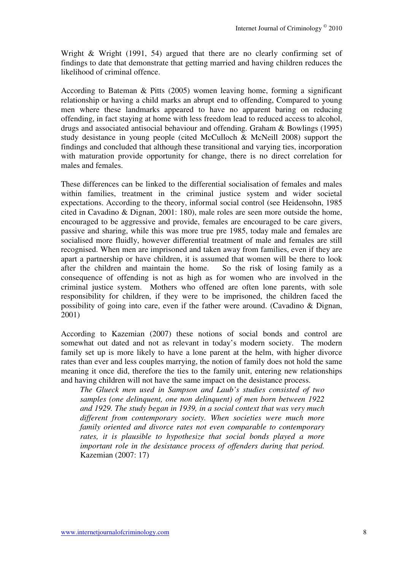Wright & Wright (1991, 54) argued that there are no clearly confirming set of findings to date that demonstrate that getting married and having children reduces the likelihood of criminal offence.

According to Bateman & Pitts (2005) women leaving home, forming a significant relationship or having a child marks an abrupt end to offending, Compared to young men where these landmarks appeared to have no apparent baring on reducing offending, in fact staying at home with less freedom lead to reduced access to alcohol, drugs and associated antisocial behaviour and offending. Graham & Bowlings (1995) study desistance in young people (cited McCulloch & McNeill 2008) support the findings and concluded that although these transitional and varying ties, incorporation with maturation provide opportunity for change, there is no direct correlation for males and females.

These differences can be linked to the differential socialisation of females and males within families, treatment in the criminal justice system and wider societal expectations. According to the theory, informal social control (see Heidensohn, 1985 cited in Cavadino & Dignan, 2001: 180), male roles are seen more outside the home, encouraged to be aggressive and provide, females are encouraged to be care givers, passive and sharing, while this was more true pre 1985, today male and females are socialised more fluidly, however differential treatment of male and females are still recognised. When men are imprisoned and taken away from families, even if they are apart a partnership or have children, it is assumed that women will be there to look after the children and maintain the home. So the risk of losing family as a consequence of offending is not as high as for women who are involved in the criminal justice system. Mothers who offened are often lone parents, with sole responsibility for children, if they were to be imprisoned, the children faced the possibility of going into care, even if the father were around. (Cavadino & Dignan, 2001)

According to Kazemian (2007) these notions of social bonds and control are somewhat out dated and not as relevant in today's modern society. The modern family set up is more likely to have a lone parent at the helm, with higher divorce rates than ever and less couples marrying, the notion of family does not hold the same meaning it once did, therefore the ties to the family unit, entering new relationships and having children will not have the same impact on the desistance process.

*The Glueck men used in Sampson and Laub's studies consisted of two samples (one delinquent, one non delinquent) of men born between 1922 and 1929. The study began in 1939, in a social context that was very much different from contemporary society. When societies were much more family oriented and divorce rates not even comparable to contemporary rates, it is plausible to hypothesize that social bonds played a more important role in the desistance process of offenders during that period.* Kazemian (2007: 17)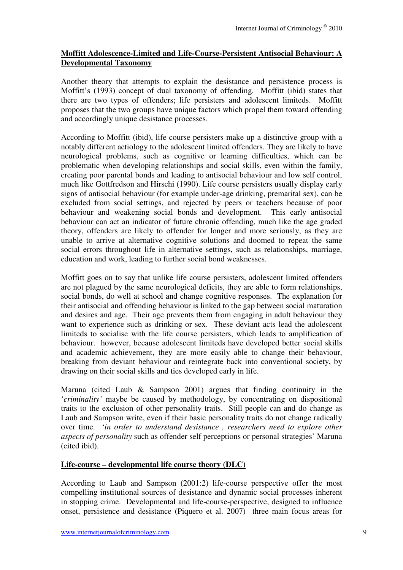### **Moffitt Adolescence-Limited and Life-Course-Persistent Antisocial Behaviour: A Developmental Taxonomy**

Another theory that attempts to explain the desistance and persistence process is Moffitt's (1993) concept of dual taxonomy of offending. Moffitt (ibid) states that there are two types of offenders; life persisters and adolescent limiteds. Moffitt proposes that the two groups have unique factors which propel them toward offending and accordingly unique desistance processes.

According to Moffitt (ibid), life course persisters make up a distinctive group with a notably different aetiology to the adolescent limited offenders. They are likely to have neurological problems, such as cognitive or learning difficulties, which can be problematic when developing relationships and social skills, even within the family, creating poor parental bonds and leading to antisocial behaviour and low self control, much like Gottfredson and Hirschi (1990). Life course persisters usually display early signs of antisocial behaviour (for example under-age drinking, premarital sex), can be excluded from social settings, and rejected by peers or teachers because of poor behaviour and weakening social bonds and development. This early antisocial behaviour can act an indicator of future chronic offending, much like the age graded theory, offenders are likely to offender for longer and more seriously, as they are unable to arrive at alternative cognitive solutions and doomed to repeat the same social errors throughout life in alternative settings, such as relationships, marriage, education and work, leading to further social bond weaknesses.

Moffitt goes on to say that unlike life course persisters, adolescent limited offenders are not plagued by the same neurological deficits, they are able to form relationships, social bonds, do well at school and change cognitive responses. The explanation for their antisocial and offending behaviour is linked to the gap between social maturation and desires and age. Their age prevents them from engaging in adult behaviour they want to experience such as drinking or sex. These deviant acts lead the adolescent limiteds to socialise with the life course persisters, which leads to amplification of behaviour. however, because adolescent limiteds have developed better social skills and academic achievement, they are more easily able to change their behaviour, breaking from deviant behaviour and reintegrate back into conventional society, by drawing on their social skills and ties developed early in life.

Maruna (cited Laub & Sampson 2001) argues that finding continuity in the '*criminality'* maybe be caused by methodology, by concentrating on dispositional traits to the exclusion of other personality traits. Still people can and do change as Laub and Sampson write, even if their basic personality traits do not change radically over time. '*in order to understand desistance , researchers need to explore other aspects of personality* such as offender self perceptions or personal strategies' Maruna (cited ibid).

# **Life-course – developmental life course theory (DLC)**

According to Laub and Sampson (2001:2) life-course perspective offer the most compelling institutional sources of desistance and dynamic social processes inherent in stopping crime. Developmental and life-course-perspective, designed to influence onset, persistence and desistance (Piquero et al. 2007) three main focus areas for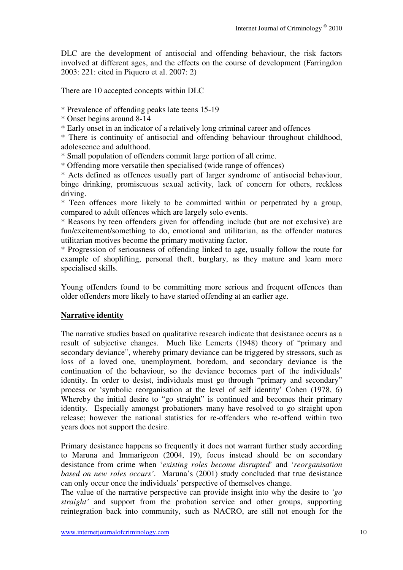DLC are the development of antisocial and offending behaviour, the risk factors involved at different ages, and the effects on the course of development (Farringdon 2003: 221: cited in Piquero et al. 2007: 2)

There are 10 accepted concepts within DLC

\* Prevalence of offending peaks late teens 15-19

\* Onset begins around 8-14

\* Early onset in an indicator of a relatively long criminal career and offences

\* There is continuity of antisocial and offending behaviour throughout childhood, adolescence and adulthood.

\* Small population of offenders commit large portion of all crime.

\* Offending more versatile then specialised (wide range of offences)

\* Acts defined as offences usually part of larger syndrome of antisocial behaviour, binge drinking, promiscuous sexual activity, lack of concern for others, reckless driving.

\* Teen offences more likely to be committed within or perpetrated by a group, compared to adult offences which are largely solo events.

\* Reasons by teen offenders given for offending include (but are not exclusive) are fun/excitement/something to do, emotional and utilitarian, as the offender matures utilitarian motives become the primary motivating factor.

\* Progression of seriousness of offending linked to age, usually follow the route for example of shoplifting, personal theft, burglary, as they mature and learn more specialised skills.

Young offenders found to be committing more serious and frequent offences than older offenders more likely to have started offending at an earlier age.

### **Narrative identity**

The narrative studies based on qualitative research indicate that desistance occurs as a result of subjective changes. Much like Lemerts (1948) theory of "primary and secondary deviance", whereby primary deviance can be triggered by stressors, such as loss of a loved one, unemployment, boredom, and secondary deviance is the continuation of the behaviour, so the deviance becomes part of the individuals' identity. In order to desist, individuals must go through "primary and secondary" process or 'symbolic reorganisation at the level of self identity' Cohen (1978, 6) Whereby the initial desire to "go straight" is continued and becomes their primary identity. Especially amongst probationers many have resolved to go straight upon release; however the national statistics for re-offenders who re-offend within two years does not support the desire.

Primary desistance happens so frequently it does not warrant further study according to Maruna and Immarigeon (2004, 19), focus instead should be on secondary desistance from crime when '*existing roles become disrupted*' and '*reorganisation based on new roles occurs'*. Maruna's (2001) study concluded that true desistance can only occur once the individuals' perspective of themselves change.

The value of the narrative perspective can provide insight into why the desire to *'go straight'* and support from the probation service and other groups, supporting reintegration back into community, such as NACRO, are still not enough for the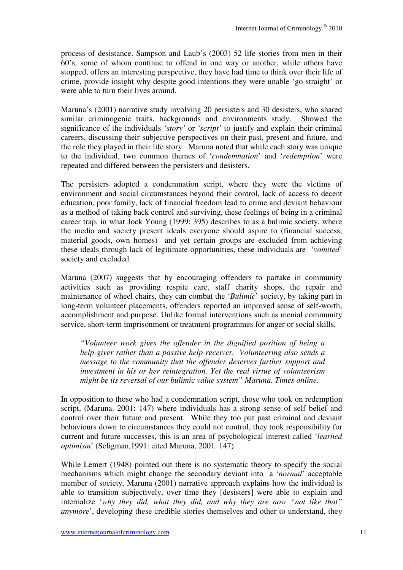process of desistance. Sampson and Laub's (2003) 52 life stories from men in their 60's, some of whom continue to offend in one way or another, while others have stopped, offers an interesting perspective, they have had time to think over their life of crime, provide insight why despite good intentions they were unable 'go straight' or were able to turn their lives around.

Maruna's (2001) narrative study involving 20 persisters and 30 desisters, who shared similar criminogenic traits, backgrounds and environments study. Showed the significance of the individuals *'story'* or *'script'* to justify and explain their criminal careers, discussing their subjective perspectives on their past, present and future, and the role they played in their life story. Maruna noted that while each story was unique to the individual, two common themes of '*condemnation*' and '*redemption*' were repeated and differed between the persisters and desisters.

The persisters adopted a condemnation script, where they were the victims of environment and social circumstances beyond their control, lack of access to decent education, poor family, lack of financial freedom lead to crime and deviant behaviour as a method of taking back control and surviving, these feelings of being in a criminal career trap, in what Jock Young (1999: 395) describes to as a bulimic society, where the media and society present ideals everyone should aspire to (financial success, material goods, own homes) and yet certain groups are excluded from achieving these ideals through lack of legitimate opportunities, these individuals are '*vomited*' society and excluded.

Maruna (2007) suggests that by encouraging offenders to partake in community activities such as providing respite care, staff charity shops, the repair and maintenance of wheel chairs, they can combat the '*Bulimic*' society, by taking part in long-term volunteer placements, offenders reported an improved sense of self-worth, accomplishment and purpose. Unlike formal interventions such as menial community service, short-term imprisonment or treatment programmes for anger or social skills,

*"Volunteer work gives the offender in the dignified position of being a help-giver rather than a passive help-receiver. Volunteering also sends a message to the community that the offender deserves further support and investment in his or her reintegration. Yet the real virtue of volunteerism might be its reversal of our bulimic value system" Maruna. Times online*.

In opposition to those who had a condemnation script, those who took on redemption script, (Maruna. 2001: 147) where individuals has a strong sense of self belief and control over their future and present. While they too put past criminal and deviant behaviours down to circumstances they could not control, they took responsibility for current and future successes, this is an area of psychological interest called '*learned optimism*' (Seligman,1991: cited Maruna, 2001. 147)

While Lemert (1948) pointed out there is no systematic theory to specify the social mechanisms which might change the secondary deviant into a '*normal*' acceptable member of society, Maruna (2001) narrative approach explains how the individual is able to transition subjectively, over time they [desisters] were able to explain and internalize '*why they did, what they did, and why they are now "not like that" anymore*', developing these credible stories themselves and other to understand, they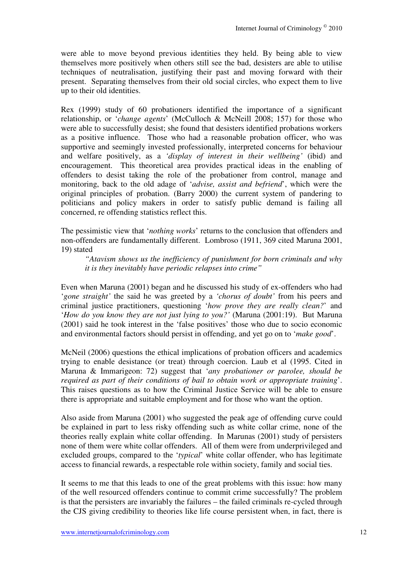were able to move beyond previous identities they held. By being able to view themselves more positively when others still see the bad, desisters are able to utilise techniques of neutralisation, justifying their past and moving forward with their present. Separating themselves from their old social circles, who expect them to live up to their old identities.

Rex (1999) study of 60 probationers identified the importance of a significant relationship, or '*change agents*' (McCulloch & McNeill 2008; 157) for those who were able to successfully desist; she found that desisters identified probations workers as a positive influence. Those who had a reasonable probation officer, who was supportive and seemingly invested professionally, interpreted concerns for behaviour and welfare positively, as a *'display of interest in their wellbeing'* (ibid) and encouragement. This theoretical area provides practical ideas in the enabling of offenders to desist taking the role of the probationer from control, manage and monitoring, back to the old adage of '*advise, assist and befriend*', which were the original principles of probation. (Barry 2000) the current system of pandering to politicians and policy makers in order to satisfy public demand is failing all concerned, re offending statistics reflect this.

The pessimistic view that '*nothing works*' returns to the conclusion that offenders and non-offenders are fundamentally different. Lombroso (1911, 369 cited Maruna 2001, 19) stated

*"Atavism shows us the inefficiency of punishment for born criminals and why it is they inevitably have periodic relapses into crime"* 

Even when Maruna (2001) began and he discussed his study of ex-offenders who had '*gone straight'* the said he was greeted by a *'chorus of doubt'* from his peers and criminal justice practitioners, questioning '*how prove they are really clean?*' and '*How do you know they are not just lying to you?'* (Maruna (2001:19). But Maruna (2001) said he took interest in the 'false positives' those who due to socio economic and environmental factors should persist in offending, and yet go on to '*make good*'.

McNeil (2006) questions the ethical implications of probation officers and academics trying to enable desistance (or treat) through coercion. Laub et al (1995. Cited in Maruna & Immarigeon: 72) suggest that '*any probationer or parolee, should be required as part of their conditions of bail to obtain work or appropriate training*'. This raises questions as to how the Criminal Justice Service will be able to ensure there is appropriate and suitable employment and for those who want the option.

Also aside from Maruna (2001) who suggested the peak age of offending curve could be explained in part to less risky offending such as white collar crime, none of the theories really explain white collar offending. In Marunas (2001) study of persisters none of them were white collar offenders. All of them were from underprivileged and excluded groups, compared to the '*typical*' white collar offender, who has legitimate access to financial rewards, a respectable role within society, family and social ties.

It seems to me that this leads to one of the great problems with this issue: how many of the well resourced offenders continue to commit crime successfully? The problem is that the persisters are invariably the failures – the failed criminals re-cycled through the CJS giving credibility to theories like life course persistent when, in fact, there is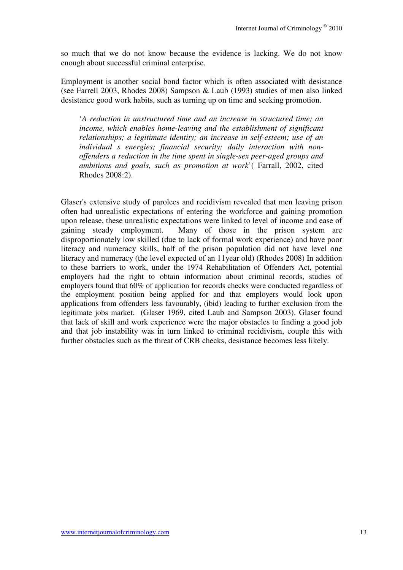so much that we do not know because the evidence is lacking. We do not know enough about successful criminal enterprise.

Employment is another social bond factor which is often associated with desistance (see Farrell 2003, Rhodes 2008) Sampson & Laub (1993) studies of men also linked desistance good work habits, such as turning up on time and seeking promotion.

'*A reduction in unstructured time and an increase in structured time; an income, which enables home-leaving and the establishment of significant relationships; a legitimate identity; an increase in self-esteem; use of an individual s energies; financial security; daily interaction with nonoffenders a reduction in the time spent in single-sex peer-aged groups and ambitions and goals, such as promotion at work*'( Farrall, 2002, cited Rhodes 2008:2).

Glaser's extensive study of parolees and recidivism revealed that men leaving prison often had unrealistic expectations of entering the workforce and gaining promotion upon release, these unrealistic expectations were linked to level of income and ease of gaining steady employment. Many of those in the prison system are disproportionately low skilled (due to lack of formal work experience) and have poor literacy and numeracy skills, half of the prison population did not have level one literacy and numeracy (the level expected of an 11year old) (Rhodes 2008) In addition to these barriers to work, under the 1974 Rehabilitation of Offenders Act, potential employers had the right to obtain information about criminal records, studies of employers found that 60% of application for records checks were conducted regardless of the employment position being applied for and that employers would look upon applications from offenders less favourably, (ibid) leading to further exclusion from the legitimate jobs market. (Glaser 1969, cited Laub and Sampson 2003). Glaser found that lack of skill and work experience were the major obstacles to finding a good job and that job instability was in turn linked to criminal recidivism, couple this with further obstacles such as the threat of CRB checks, desistance becomes less likely.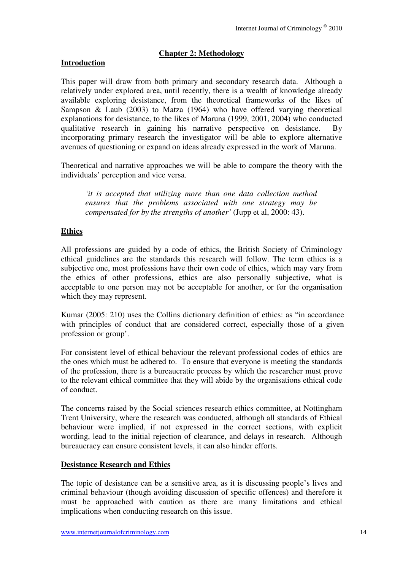# **Chapter 2: Methodology**

### **Introduction**

This paper will draw from both primary and secondary research data. Although a relatively under explored area, until recently, there is a wealth of knowledge already available exploring desistance, from the theoretical frameworks of the likes of Sampson & Laub (2003) to Matza (1964) who have offered varying theoretical explanations for desistance, to the likes of Maruna (1999, 2001, 2004) who conducted qualitative research in gaining his narrative perspective on desistance. By incorporating primary research the investigator will be able to explore alternative avenues of questioning or expand on ideas already expressed in the work of Maruna.

Theoretical and narrative approaches we will be able to compare the theory with the individuals' perception and vice versa.

*'it is accepted that utilizing more than one data collection method ensures that the problems associated with one strategy may be compensated for by the strengths of another'* (Jupp et al, 2000: 43).

### **Ethics**

All professions are guided by a code of ethics, the British Society of Criminology ethical guidelines are the standards this research will follow. The term ethics is a subjective one, most professions have their own code of ethics, which may vary from the ethics of other professions, ethics are also personally subjective, what is acceptable to one person may not be acceptable for another, or for the organisation which they may represent.

Kumar (2005: 210) uses the Collins dictionary definition of ethics: as "in accordance with principles of conduct that are considered correct, especially those of a given profession or group'.

For consistent level of ethical behaviour the relevant professional codes of ethics are the ones which must be adhered to. To ensure that everyone is meeting the standards of the profession, there is a bureaucratic process by which the researcher must prove to the relevant ethical committee that they will abide by the organisations ethical code of conduct.

The concerns raised by the Social sciences research ethics committee, at Nottingham Trent University, where the research was conducted, although all standards of Ethical behaviour were implied, if not expressed in the correct sections, with explicit wording, lead to the initial rejection of clearance, and delays in research. Although bureaucracy can ensure consistent levels, it can also hinder efforts.

### **Desistance Research and Ethics**

The topic of desistance can be a sensitive area, as it is discussing people's lives and criminal behaviour (though avoiding discussion of specific offences) and therefore it must be approached with caution as there are many limitations and ethical implications when conducting research on this issue.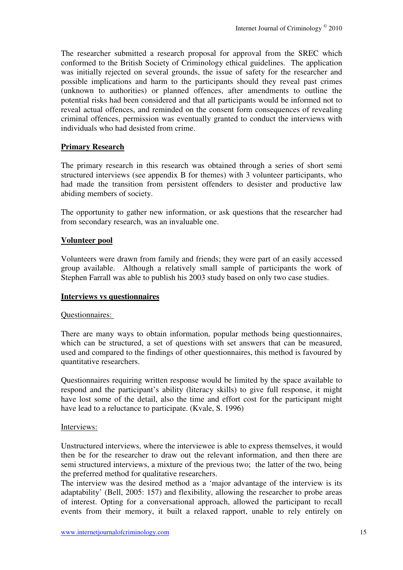The researcher submitted a research proposal for approval from the SREC which conformed to the British Society of Criminology ethical guidelines. The application was initially rejected on several grounds, the issue of safety for the researcher and possible implications and harm to the participants should they reveal past crimes (unknown to authorities) or planned offences, after amendments to outline the potential risks had been considered and that all participants would be informed not to reveal actual offences, and reminded on the consent form consequences of revealing criminal offences, permission was eventually granted to conduct the interviews with individuals who had desisted from crime.

### **Primary Research**

The primary research in this research was obtained through a series of short semi structured interviews (see appendix B for themes) with 3 volunteer participants, who had made the transition from persistent offenders to desister and productive law abiding members of society.

The opportunity to gather new information, or ask questions that the researcher had from secondary research, was an invaluable one.

### **Volunteer pool**

Volunteers were drawn from family and friends; they were part of an easily accessed group available. Although a relatively small sample of participants the work of Stephen Farrall was able to publish his 2003 study based on only two case studies.

### **Interviews vs questionnaires**

### Questionnaires:

There are many ways to obtain information, popular methods being questionnaires, which can be structured, a set of questions with set answers that can be measured, used and compared to the findings of other questionnaires, this method is favoured by quantitative researchers.

Questionnaires requiring written response would be limited by the space available to respond and the participant's ability (literacy skills) to give full response, it might have lost some of the detail, also the time and effort cost for the participant might have lead to a reluctance to participate. (Kvale, S. 1996)

### Interviews:

Unstructured interviews, where the interviewee is able to express themselves, it would then be for the researcher to draw out the relevant information, and then there are semi structured interviews, a mixture of the previous two; the latter of the two, being the preferred method for qualitative researchers.

The interview was the desired method as a 'major advantage of the interview is its adaptability' (Bell, 2005: 157) and flexibility, allowing the researcher to probe areas of interest. Opting for a conversational approach, allowed the participant to recall events from their memory, it built a relaxed rapport, unable to rely entirely on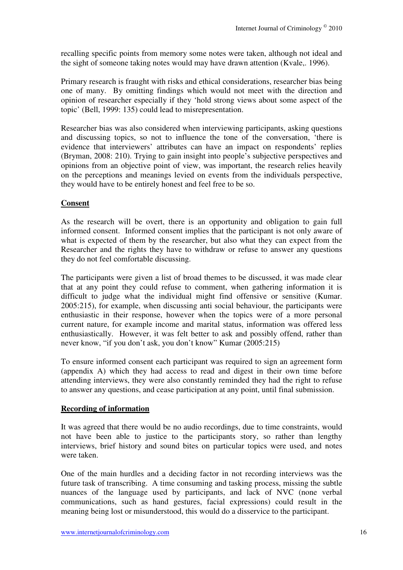recalling specific points from memory some notes were taken, although not ideal and the sight of someone taking notes would may have drawn attention (Kvale,. 1996).

Primary research is fraught with risks and ethical considerations, researcher bias being one of many. By omitting findings which would not meet with the direction and opinion of researcher especially if they 'hold strong views about some aspect of the topic' (Bell, 1999: 135) could lead to misrepresentation.

Researcher bias was also considered when interviewing participants, asking questions and discussing topics, so not to influence the tone of the conversation, 'there is evidence that interviewers' attributes can have an impact on respondents' replies (Bryman, 2008: 210). Trying to gain insight into people's subjective perspectives and opinions from an objective point of view, was important, the research relies heavily on the perceptions and meanings levied on events from the individuals perspective, they would have to be entirely honest and feel free to be so.

### **Consent**

As the research will be overt, there is an opportunity and obligation to gain full informed consent. Informed consent implies that the participant is not only aware of what is expected of them by the researcher, but also what they can expect from the Researcher and the rights they have to withdraw or refuse to answer any questions they do not feel comfortable discussing.

The participants were given a list of broad themes to be discussed, it was made clear that at any point they could refuse to comment, when gathering information it is difficult to judge what the individual might find offensive or sensitive (Kumar. 2005:215), for example, when discussing anti social behaviour, the participants were enthusiastic in their response, however when the topics were of a more personal current nature, for example income and marital status, information was offered less enthusiastically. However, it was felt better to ask and possibly offend, rather than never know, "if you don't ask, you don't know" Kumar (2005:215)

To ensure informed consent each participant was required to sign an agreement form (appendix A) which they had access to read and digest in their own time before attending interviews, they were also constantly reminded they had the right to refuse to answer any questions, and cease participation at any point, until final submission.

### **Recording of information**

It was agreed that there would be no audio recordings, due to time constraints, would not have been able to justice to the participants story, so rather than lengthy interviews, brief history and sound bites on particular topics were used, and notes were taken.

One of the main hurdles and a deciding factor in not recording interviews was the future task of transcribing. A time consuming and tasking process, missing the subtle nuances of the language used by participants, and lack of NVC (none verbal communications, such as hand gestures, facial expressions) could result in the meaning being lost or misunderstood, this would do a disservice to the participant.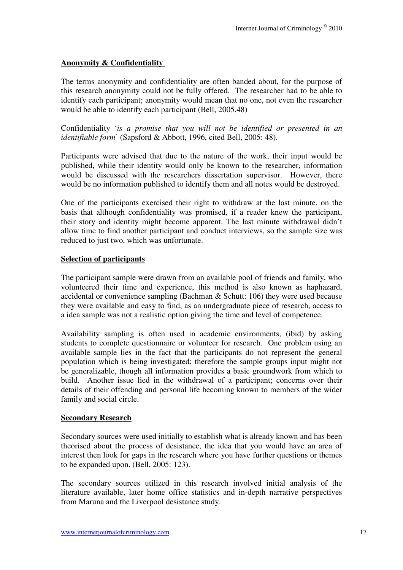## **Anonymity & Confidentiality**

The terms anonymity and confidentiality are often banded about, for the purpose of this research anonymity could not be fully offered. The researcher had to be able to identify each participant; anonymity would mean that no one, not even the researcher would be able to identify each participant (Bell, 2005.48)

Confidentiality '*is a promise that you will not be identified or presented in an identifiable form*' (Sapsford & Abbott, 1996, cited Bell, 2005: 48).

Participants were advised that due to the nature of the work, their input would be published, while their identity would only be known to the researcher, information would be discussed with the researchers dissertation supervisor. However, there would be no information published to identify them and all notes would be destroyed.

One of the participants exercised their right to withdraw at the last minute, on the basis that although confidentiality was promised, if a reader knew the participant, their story and identity might become apparent. The last minute withdrawal didn't allow time to find another participant and conduct interviews, so the sample size was reduced to just two, which was unfortunate.

### **Selection of participants**

The participant sample were drawn from an available pool of friends and family, who volunteered their time and experience, this method is also known as haphazard, accidental or convenience sampling (Bachman & Schutt: 106) they were used because they were available and easy to find, as an undergraduate piece of research, access to a idea sample was not a realistic option giving the time and level of competence.

Availability sampling is often used in academic environments, (ibid) by asking students to complete questionnaire or volunteer for research. One problem using an available sample lies in the fact that the participants do not represent the general population which is being investigated; therefore the sample groups input might not be generalizable, though all information provides a basic groundwork from which to build. Another issue lied in the withdrawal of a participant; concerns over their details of their offending and personal life becoming known to members of the wider family and social circle.

### **Secondary Research**

Secondary sources were used initially to establish what is already known and has been theorised about the process of desistance, the idea that you would have an area of interest then look for gaps in the research where you have further questions or themes to be expanded upon. (Bell, 2005: 123).

The secondary sources utilized in this research involved initial analysis of the literature available, later home office statistics and in-depth narrative perspectives from Maruna and the Liverpool desistance study.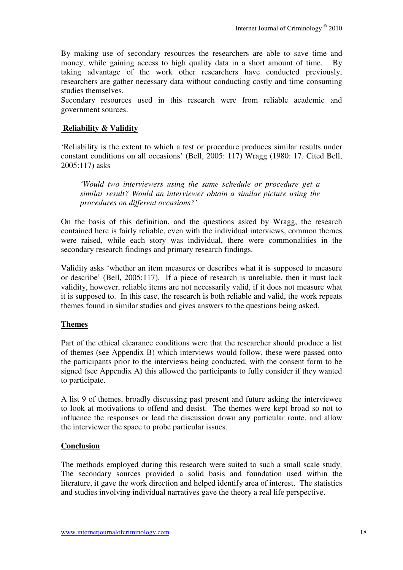By making use of secondary resources the researchers are able to save time and money, while gaining access to high quality data in a short amount of time. By taking advantage of the work other researchers have conducted previously, researchers are gather necessary data without conducting costly and time consuming studies themselves.

Secondary resources used in this research were from reliable academic and government sources.

### **Reliability & Validity**

'Reliability is the extent to which a test or procedure produces similar results under constant conditions on all occasions' (Bell, 2005: 117) Wragg (1980: 17. Cited Bell, 2005:117) asks

*'Would two interviewers using the same schedule or procedure get a similar result? Would an interviewer obtain a similar picture using the procedures on different occasions?'* 

On the basis of this definition, and the questions asked by Wragg, the research contained here is fairly reliable, even with the individual interviews, common themes were raised, while each story was individual, there were commonalities in the secondary research findings and primary research findings.

Validity asks 'whether an item measures or describes what it is supposed to measure or describe' (Bell, 2005:117). If a piece of research is unreliable, then it must lack validity, however, reliable items are not necessarily valid, if it does not measure what it is supposed to. In this case, the research is both reliable and valid, the work repeats themes found in similar studies and gives answers to the questions being asked.

### **Themes**

Part of the ethical clearance conditions were that the researcher should produce a list of themes (see Appendix B) which interviews would follow, these were passed onto the participants prior to the interviews being conducted, with the consent form to be signed (see Appendix A) this allowed the participants to fully consider if they wanted to participate.

A list 9 of themes, broadly discussing past present and future asking the interviewee to look at motivations to offend and desist. The themes were kept broad so not to influence the responses or lead the discussion down any particular route, and allow the interviewer the space to probe particular issues.

### **Conclusion**

The methods employed during this research were suited to such a small scale study. The secondary sources provided a solid basis and foundation used within the literature, it gave the work direction and helped identify area of interest. The statistics and studies involving individual narratives gave the theory a real life perspective.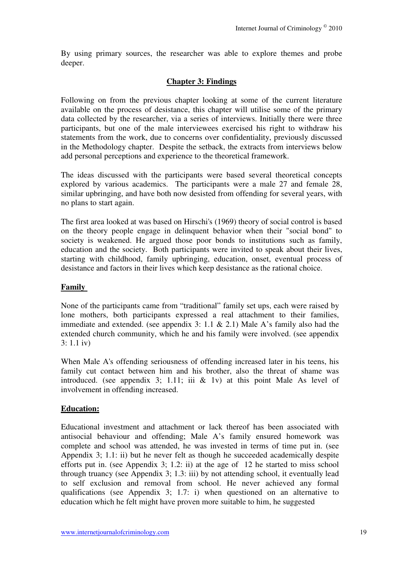By using primary sources, the researcher was able to explore themes and probe deeper.

### **Chapter 3: Findings**

Following on from the previous chapter looking at some of the current literature available on the process of desistance, this chapter will utilise some of the primary data collected by the researcher, via a series of interviews. Initially there were three participants, but one of the male interviewees exercised his right to withdraw his statements from the work, due to concerns over confidentiality, previously discussed in the Methodology chapter. Despite the setback, the extracts from interviews below add personal perceptions and experience to the theoretical framework.

The ideas discussed with the participants were based several theoretical concepts explored by various academics. The participants were a male 27 and female 28, similar upbringing, and have both now desisted from offending for several years, with no plans to start again.

The first area looked at was based on Hirschi's (1969) theory of social control is based on the theory people engage in delinquent behavior when their "social bond" to society is weakened. He argued those poor bonds to institutions such as family, education and the society. Both participants were invited to speak about their lives, starting with childhood, family upbringing, education, onset, eventual process of desistance and factors in their lives which keep desistance as the rational choice.

### **Family**

None of the participants came from "traditional" family set ups, each were raised by lone mothers, both participants expressed a real attachment to their families, immediate and extended. (see appendix 3: 1.1 & 2.1) Male A's family also had the extended church community, which he and his family were involved. (see appendix 3: 1.1 iv)

When Male A's offending seriousness of offending increased later in his teens, his family cut contact between him and his brother, also the threat of shame was introduced. (see appendix 3; 1.11; iii  $\&$  1v) at this point Male As level of involvement in offending increased.

### **Education:**

Educational investment and attachment or lack thereof has been associated with antisocial behaviour and offending; Male A's family ensured homework was complete and school was attended, he was invested in terms of time put in. (see Appendix 3; 1.1: ii) but he never felt as though he succeeded academically despite efforts put in. (see Appendix 3; 1.2: ii) at the age of 12 he started to miss school through truancy (see Appendix 3; 1.3: iii) by not attending school, it eventually lead to self exclusion and removal from school. He never achieved any formal qualifications (see Appendix 3; 1.7: i) when questioned on an alternative to education which he felt might have proven more suitable to him, he suggested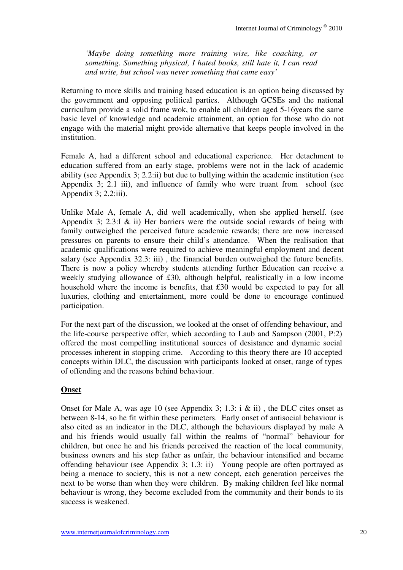*'Maybe doing something more training wise, like coaching, or something. Something physical, I hated books, still hate it, I can read and write, but school was never something that came easy'* 

Returning to more skills and training based education is an option being discussed by the government and opposing political parties. Although GCSEs and the national curriculum provide a solid frame wok, to enable all children aged 5-16years the same basic level of knowledge and academic attainment, an option for those who do not engage with the material might provide alternative that keeps people involved in the institution.

Female A, had a different school and educational experience. Her detachment to education suffered from an early stage, problems were not in the lack of academic ability (see Appendix 3; 2.2:ii) but due to bullying within the academic institution (see Appendix 3; 2.1 iii), and influence of family who were truant from school (see Appendix 3; 2.2:iii).

Unlike Male A, female A, did well academically, when she applied herself. (see Appendix 3; 2.3:I & ii) Her barriers were the outside social rewards of being with family outweighed the perceived future academic rewards; there are now increased pressures on parents to ensure their child's attendance. When the realisation that academic qualifications were required to achieve meaningful employment and decent salary (see Appendix 32.3: iii), the financial burden outweighed the future benefits. There is now a policy whereby students attending further Education can receive a weekly studying allowance of £30, although helpful, realistically in a low income household where the income is benefits, that £30 would be expected to pay for all luxuries, clothing and entertainment, more could be done to encourage continued participation.

For the next part of the discussion, we looked at the onset of offending behaviour, and the life-course perspective offer, which according to Laub and Sampson (2001, P:2) offered the most compelling institutional sources of desistance and dynamic social processes inherent in stopping crime. According to this theory there are 10 accepted concepts within DLC, the discussion with participants looked at onset, range of types of offending and the reasons behind behaviour.

### **Onset**

Onset for Male A, was age 10 (see Appendix 3; 1.3:  $i \ⅈ$ ), the DLC cites onset as between 8-14, so he fit within these perimeters. Early onset of antisocial behaviour is also cited as an indicator in the DLC, although the behaviours displayed by male A and his friends would usually fall within the realms of "normal" behaviour for children, but once he and his friends perceived the reaction of the local community, business owners and his step father as unfair, the behaviour intensified and became offending behaviour (see Appendix 3; 1.3: ii) Young people are often portrayed as being a menace to society, this is not a new concept, each generation perceives the next to be worse than when they were children. By making children feel like normal behaviour is wrong, they become excluded from the community and their bonds to its success is weakened.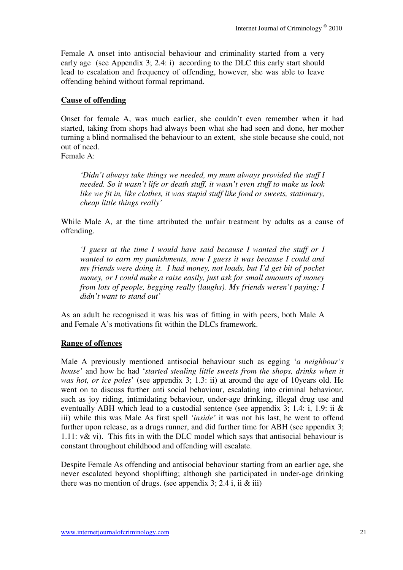Female A onset into antisocial behaviour and criminality started from a very early age (see Appendix 3; 2.4: i) according to the DLC this early start should lead to escalation and frequency of offending, however, she was able to leave offending behind without formal reprimand.

### **Cause of offending**

Onset for female A, was much earlier, she couldn't even remember when it had started, taking from shops had always been what she had seen and done, her mother turning a blind normalised the behaviour to an extent, she stole because she could, not out of need.

Female A:

*'Didn't always take things we needed, my mum always provided the stuff I needed. So it wasn't life or death stuff, it wasn't even stuff to make us look like we fit in, like clothes, it was stupid stuff like food or sweets, stationary, cheap little things really'* 

While Male A, at the time attributed the unfair treatment by adults as a cause of offending.

*'I guess at the time I would have said because I wanted the stuff or I wanted to earn my punishments, now I guess it was because I could and my friends were doing it. I had money, not loads, but I'd get bit of pocket money, or I could make a raise easily, just ask for small amounts of money from lots of people, begging really (laughs). My friends weren't paying; I didn't want to stand out'* 

As an adult he recognised it was his was of fitting in with peers, both Male A and Female A's motivations fit within the DLCs framework.

### **Range of offences**

Male A previously mentioned antisocial behaviour such as egging '*a neighbour's house'* and how he had '*started stealing little sweets from the shops, drinks when it was hot, or ice poles*' (see appendix 3; 1.3: ii) at around the age of 10years old. He went on to discuss further anti social behaviour, escalating into criminal behaviour, such as joy riding, intimidating behaviour, under-age drinking, illegal drug use and eventually ABH which lead to a custodial sentence (see appendix 3; 1.4: i, 1.9: ii & iii) while this was Male As first spell *'inside'* it was not his last, he went to offend further upon release, as a drugs runner, and did further time for ABH (see appendix 3; 1.11: v& vi). This fits in with the DLC model which says that antisocial behaviour is constant throughout childhood and offending will escalate.

Despite Female As offending and antisocial behaviour starting from an earlier age, she never escalated beyond shoplifting; although she participated in under-age drinking there was no mention of drugs. (see appendix 3; 2.4 i, ii  $\&$  iii)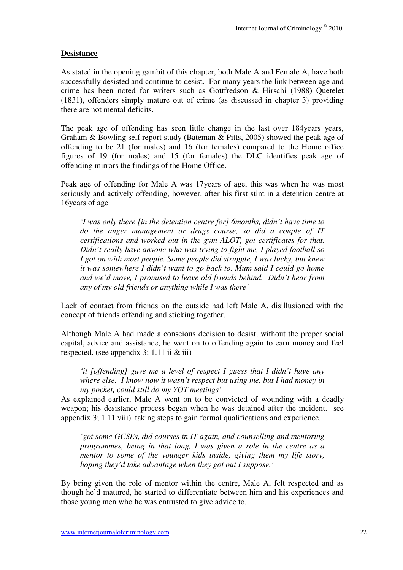### **Desistance**

As stated in the opening gambit of this chapter, both Male A and Female A, have both successfully desisted and continue to desist. For many years the link between age and crime has been noted for writers such as Gottfredson & Hirschi (1988) Quetelet (1831), offenders simply mature out of crime (as discussed in chapter 3) providing there are not mental deficits.

The peak age of offending has seen little change in the last over 184years years, Graham & Bowling self report study (Bateman & Pitts, 2005) showed the peak age of offending to be 21 (for males) and 16 (for females) compared to the Home office figures of 19 (for males) and 15 (for females) the DLC identifies peak age of offending mirrors the findings of the Home Office.

Peak age of offending for Male A was 17years of age, this was when he was most seriously and actively offending, however, after his first stint in a detention centre at 16years of age

*'I was only there [in the detention centre for] 6months, didn't have time to do the anger management or drugs course, so did a couple of IT certifications and worked out in the gym ALOT, got certificates for that. Didn't really have anyone who was trying to fight me, I played football so I got on with most people. Some people did struggle, I was lucky, but knew it was somewhere I didn't want to go back to. Mum said I could go home and we'd move, I promised to leave old friends behind. Didn't hear from any of my old friends or anything while I was there'* 

Lack of contact from friends on the outside had left Male A, disillusioned with the concept of friends offending and sticking together.

Although Male A had made a conscious decision to desist, without the proper social capital, advice and assistance, he went on to offending again to earn money and feel respected. (see appendix 3; 1.11 ii  $\&$  iii)

*'it [offending] gave me a level of respect I guess that I didn't have any where else. I know now it wasn't respect but using me, but I had money in my pocket, could still do my YOT meetings'* 

As explained earlier, Male A went on to be convicted of wounding with a deadly weapon; his desistance process began when he was detained after the incident. see appendix 3; 1.11 viii) taking steps to gain formal qualifications and experience.

*'got some GCSEs, did courses in IT again, and counselling and mentoring programmes, being in that long, I was given a role in the centre as a mentor to some of the younger kids inside, giving them my life story, hoping they'd take advantage when they got out I suppose.'* 

By being given the role of mentor within the centre, Male A, felt respected and as though he'd matured, he started to differentiate between him and his experiences and those young men who he was entrusted to give advice to.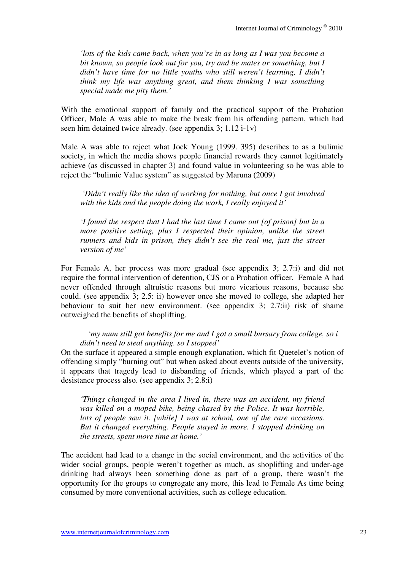*'lots of the kids came back, when you're in as long as I was you become a bit known, so people look out for you, try and be mates or something, but I didn't have time for no little youths who still weren't learning, I didn't think my life was anything great, and them thinking I was something special made me pity them.'* 

With the emotional support of family and the practical support of the Probation Officer, Male A was able to make the break from his offending pattern, which had seen him detained twice already. (see appendix 3; 1.12 i-1v)

Male A was able to reject what Jock Young (1999. 395) describes to as a bulimic society, in which the media shows people financial rewards they cannot legitimately achieve (as discussed in chapter 3) and found value in volunteering so he was able to reject the "bulimic Value system" as suggested by Maruna (2009)

 *'Didn't really like the idea of working for nothing, but once I got involved with the kids and the people doing the work, I really enjoyed it'* 

*'I found the respect that I had the last time I came out [of prison] but in a more positive setting, plus I respected their opinion, unlike the street runners and kids in prison, they didn't see the real me, just the street version of me'* 

For Female A, her process was more gradual (see appendix 3; 2.7:i) and did not require the formal intervention of detention, CJS or a Probation officer. Female A had never offended through altruistic reasons but more vicarious reasons, because she could. (see appendix 3; 2.5: ii) however once she moved to college, she adapted her behaviour to suit her new environment. (see appendix 3; 2.7:ii) risk of shame outweighed the benefits of shoplifting.

 *'my mum still got benefits for me and I got a small bursary from college, so i didn't need to steal anything. so I stopped'* 

On the surface it appeared a simple enough explanation, which fit Quetelet's notion of offending simply "burning out" but when asked about events outside of the university, it appears that tragedy lead to disbanding of friends, which played a part of the desistance process also. (see appendix 3; 2.8:i)

*'Things changed in the area I lived in, there was an accident, my friend was killed on a moped bike, being chased by the Police. It was horrible, lots of people saw it. [while] I was at school, one of the rare occasions. But it changed everything. People stayed in more. I stopped drinking on the streets, spent more time at home.'* 

The accident had lead to a change in the social environment, and the activities of the wider social groups, people weren't together as much, as shoplifting and under-age drinking had always been something done as part of a group, there wasn't the opportunity for the groups to congregate any more, this lead to Female As time being consumed by more conventional activities, such as college education.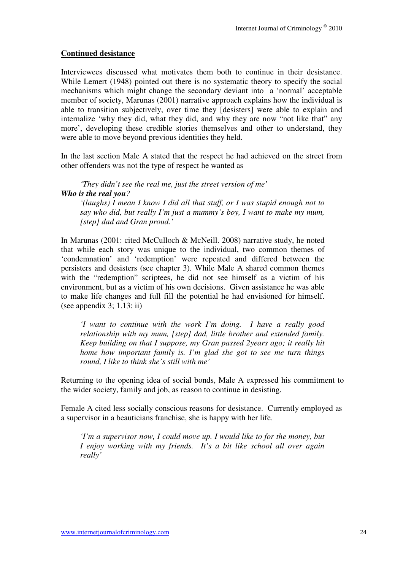#### **Continued desistance**

Interviewees discussed what motivates them both to continue in their desistance. While Lemert (1948) pointed out there is no systematic theory to specify the social mechanisms which might change the secondary deviant into a 'normal' acceptable member of society, Marunas (2001) narrative approach explains how the individual is able to transition subjectively, over time they [desisters] were able to explain and internalize 'why they did, what they did, and why they are now "not like that" any more', developing these credible stories themselves and other to understand, they were able to move beyond previous identities they held.

In the last section Male A stated that the respect he had achieved on the street from other offenders was not the type of respect he wanted as

*'They didn't see the real me, just the street version of me' Who is the real you?* 

*'(laughs) I mean I know I did all that stuff, or I was stupid enough not to say who did, but really I'm just a mummy's boy, I want to make my mum, [step] dad and Gran proud.'* 

In Marunas (2001: cited McCulloch & McNeill. 2008) narrative study, he noted that while each story was unique to the individual, two common themes of 'condemnation' and 'redemption' were repeated and differed between the persisters and desisters (see chapter 3). While Male A shared common themes with the "redemption" scriptees, he did not see himself as a victim of his environment, but as a victim of his own decisions. Given assistance he was able to make life changes and full fill the potential he had envisioned for himself. (see appendix 3; 1.13: ii)

*'I want to continue with the work I'm doing. I have a really good relationship with my mum, [step] dad, little brother and extended family. Keep building on that I suppose, my Gran passed 2years ago; it really hit home how important family is. I'm glad she got to see me turn things round, I like to think she's still with me'* 

Returning to the opening idea of social bonds, Male A expressed his commitment to the wider society, family and job, as reason to continue in desisting.

Female A cited less socially conscious reasons for desistance. Currently employed as a supervisor in a beauticians franchise, she is happy with her life.

*'I'm a supervisor now, I could move up. I would like to for the money, but I enjoy working with my friends. It's a bit like school all over again really'*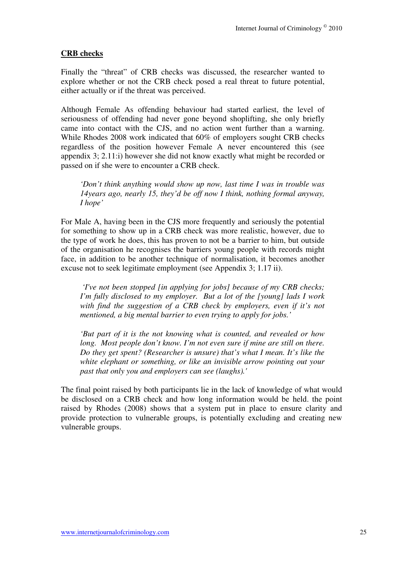### **CRB checks**

Finally the "threat" of CRB checks was discussed, the researcher wanted to explore whether or not the CRB check posed a real threat to future potential, either actually or if the threat was perceived.

Although Female As offending behaviour had started earliest, the level of seriousness of offending had never gone beyond shoplifting, she only briefly came into contact with the CJS, and no action went further than a warning. While Rhodes 2008 work indicated that 60% of employers sought CRB checks regardless of the position however Female A never encountered this (see appendix 3; 2.11:i) however she did not know exactly what might be recorded or passed on if she were to encounter a CRB check.

*'Don't think anything would show up now, last time I was in trouble was 14years ago, nearly 15, they'd be off now I think, nothing formal anyway, I hope'* 

For Male A, having been in the CJS more frequently and seriously the potential for something to show up in a CRB check was more realistic, however, due to the type of work he does, this has proven to not be a barrier to him, but outside of the organisation he recognises the barriers young people with records might face, in addition to be another technique of normalisation, it becomes another excuse not to seek legitimate employment (see Appendix 3; 1.17 ii).

 *'I've not been stopped [in applying for jobs] because of my CRB checks; I'm fully disclosed to my employer. But a lot of the [young] lads I work with find the suggestion of a CRB check by employers, even if it's not mentioned, a big mental barrier to even trying to apply for jobs.'* 

*'But part of it is the not knowing what is counted, and revealed or how long. Most people don't know. I'm not even sure if mine are still on there. Do they get spent? (Researcher is unsure) that's what I mean. It's like the white elephant or something, or like an invisible arrow pointing out your past that only you and employers can see (laughs).'*

The final point raised by both participants lie in the lack of knowledge of what would be disclosed on a CRB check and how long information would be held. the point raised by Rhodes (2008) shows that a system put in place to ensure clarity and provide protection to vulnerable groups, is potentially excluding and creating new vulnerable groups.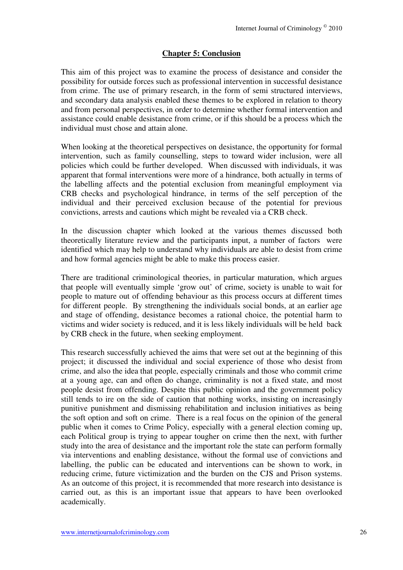# **Chapter 5: Conclusion**

This aim of this project was to examine the process of desistance and consider the possibility for outside forces such as professional intervention in successful desistance from crime. The use of primary research, in the form of semi structured interviews, and secondary data analysis enabled these themes to be explored in relation to theory and from personal perspectives, in order to determine whether formal intervention and assistance could enable desistance from crime, or if this should be a process which the individual must chose and attain alone.

When looking at the theoretical perspectives on desistance, the opportunity for formal intervention, such as family counselling, steps to toward wider inclusion, were all policies which could be further developed. When discussed with individuals, it was apparent that formal interventions were more of a hindrance, both actually in terms of the labelling affects and the potential exclusion from meaningful employment via CRB checks and psychological hindrance, in terms of the self perception of the individual and their perceived exclusion because of the potential for previous convictions, arrests and cautions which might be revealed via a CRB check.

In the discussion chapter which looked at the various themes discussed both theoretically literature review and the participants input, a number of factors were identified which may help to understand why individuals are able to desist from crime and how formal agencies might be able to make this process easier.

There are traditional criminological theories, in particular maturation, which argues that people will eventually simple 'grow out' of crime, society is unable to wait for people to mature out of offending behaviour as this process occurs at different times for different people. By strengthening the individuals social bonds, at an earlier age and stage of offending, desistance becomes a rational choice, the potential harm to victims and wider society is reduced, and it is less likely individuals will be held back by CRB check in the future, when seeking employment.

This research successfully achieved the aims that were set out at the beginning of this project; it discussed the individual and social experience of those who desist from crime, and also the idea that people, especially criminals and those who commit crime at a young age, can and often do change, criminality is not a fixed state, and most people desist from offending. Despite this public opinion and the government policy still tends to ire on the side of caution that nothing works, insisting on increasingly punitive punishment and dismissing rehabilitation and inclusion initiatives as being the soft option and soft on crime. There is a real focus on the opinion of the general public when it comes to Crime Policy, especially with a general election coming up, each Political group is trying to appear tougher on crime then the next, with further study into the area of desistance and the important role the state can perform formally via interventions and enabling desistance, without the formal use of convictions and labelling, the public can be educated and interventions can be shown to work, in reducing crime, future victimization and the burden on the CJS and Prison systems. As an outcome of this project, it is recommended that more research into desistance is carried out, as this is an important issue that appears to have been overlooked academically.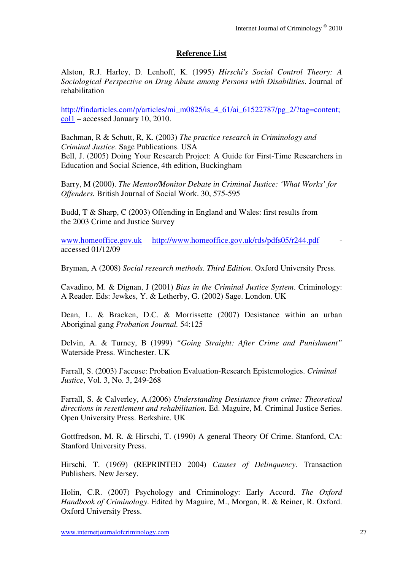# **Reference List**

Alston, R.J. Harley, D. Lenhoff, K. (1995) *Hirschi's Social Control Theory: A Sociological Perspective on Drug Abuse among Persons with Disabilities*. Journal of rehabilitation

http://findarticles.com/p/articles/mi\_m0825/is\_4\_61/ai\_61522787/pg\_2/?tag=content; col1 – accessed January 10, 2010.

Bachman, R & Schutt, R, K. (2003) *The practice research in Criminology and Criminal Justice*. Sage Publications. USA Bell, J. (2005) Doing Your Research Project: A Guide for First-Time Researchers in Education and Social Science, 4th edition, Buckingham

Barry, M (2000). *The Mentor/Monitor Debate in Criminal Justice: 'What Works' for Offenders.* British Journal of Social Work. 30, 575-595

Budd, T & Sharp, C (2003) Offending in England and Wales: first results from the 2003 Crime and Justice Survey

www.homeoffice.gov.uk http://www.homeoffice.gov.uk/rds/pdfs05/r244.pdf accessed 01/12/09

Bryman, A (2008) *Social research methods. Third Edition*. Oxford University Press.

Cavadino, M. & Dignan, J (2001) *Bias in the Criminal Justice System*. Criminology: A Reader. Eds: Jewkes, Y. & Letherby, G. (2002) Sage. London. UK

Dean, L. & Bracken, D.C. & Morrissette (2007) Desistance within an urban Aboriginal gang *Probation Journal.* 54:125

Delvin, A. & Turney, B (1999) *"Going Straight: After Crime and Punishment"*  Waterside Press. Winchester. UK

Farrall, S. (2003) J'accuse: Probation Evaluation-Research Epistemologies. *Criminal Justice*, Vol. 3, No. 3, 249-268

Farrall, S. & Calverley, A.(2006) *Understanding Desistance from crime: Theoretical directions in resettlement and rehabilitation.* Ed. Maguire, M. Criminal Justice Series. Open University Press. Berkshire. UK

Gottfredson, M. R. & Hirschi, T. (1990) A general Theory Of Crime. Stanford, CA: Stanford University Press.

Hirschi, T. (1969) (REPRINTED 2004) *Causes of Delinquency.* Transaction Publishers. New Jersey.

Holin, C.R. (2007) Psychology and Criminology: Early Accord. *The Oxford Handbook of Criminology*. Edited by Maguire, M., Morgan, R. & Reiner, R. Oxford. Oxford University Press.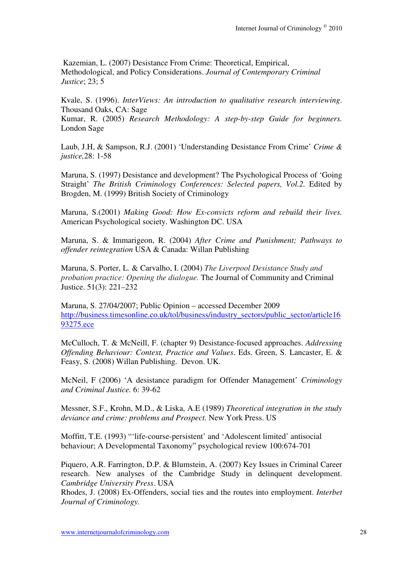Kazemian, L. (2007) Desistance From Crime: Theoretical, Empirical, Methodological, and Policy Considerations. *Journal of Contemporary Criminal Justice*; 23; 5

Kvale, S. (1996). *InterViews: An introduction to qualitative research interviewing*. Thousand Oaks, CA: Sage

Kumar, R. (2005) *Research Methodology: A step-by-step Guide for beginners.*  London Sage

Laub, J.H, & Sampson, R.J. (2001) 'Understanding Desistance From Crime' *Crime & justice,*28: 1-58

Maruna, S. (1997) Desistance and development? The Psychological Process of 'Going Straight' *The British Criminology Conferences: Selected papers, Vol.2.* Edited by Brogden, M. (1999) British Society of Criminology

Maruna, S.(2001) *Making Good: How Ex-convicts reform and rebuild their lives.*  American Psychological society. Washington DC. USA

Maruna, S. & Immarigeon, R. (2004) *After Crime and Punishment; Pathways to offender reintegration* USA & Canada: Willan Publishing

Maruna, S. Porter, L. & Carvalho, I. (2004) *The Liverpool Desistance Study and probation practice: Opening the dialogue.* The Journal of Community and Criminal Justice. 51(3): 221–232

Maruna, S. 27/04/2007; Public Opinion – accessed December 2009 http://business.timesonline.co.uk/tol/business/industry\_sectors/public\_sector/article16 93275.ece

McCulloch, T. & McNeill, F. (chapter 9) Desistance-focused approaches. *Addressing Offending Behaviour: Context, Practice and Values*. Eds. Green, S. Lancaster, E. & Feasy, S. (2008) Willan Publishing. Devon. UK.

McNeil, F (2006) 'A desistance paradigm for Offender Management' *Criminology and Criminal Justice.* 6: 39-62

Messner, S.F., Krohn, M.D., & Liska, A.E (1989) *Theoretical integration in the study deviance and crime: problems and Prospect.* New York Press. US

Moffitt, T.E. (1993) "'life-course-persistent' and 'Adolescent limited' antisocial behaviour; A Developmental Taxonomy" psychological review 100:674-701

Piquero, A.R. Farrington, D.P. & Blumstein, A. (2007) Key Issues in Criminal Career research. New analyses of the Cambridge Study in delinquent development. *Cambridge University Press*. USA

Rhodes, J. (2008) Ex-Offenders, social ties and the routes into employment. *Interbet Journal of Criminology.*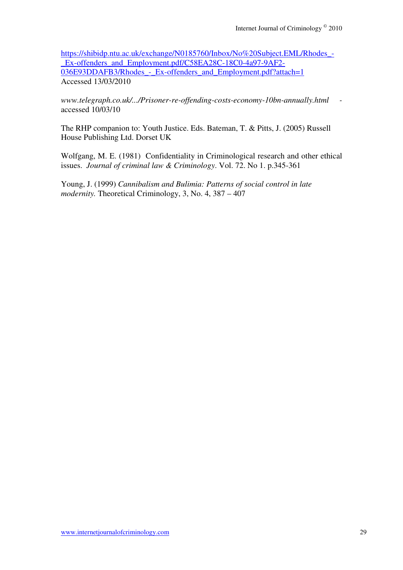https://shibidp.ntu.ac.uk/exchange/N0185760/Inbox/No%20Subject.EML/Rhodes -Ex-offenders\_and\_Employment.pdf/C58EA28C-18C0-4a97-9AF2-036E93DDAFB3/Rhodes\_-\_Ex-offenders\_and\_Employment.pdf?attach=1 Accessed 13/03/2010

*www.telegraph.co.uk/.../Prisoner-re-offending-costs-economy-10bn-annually.html*  accessed 10/03/10

The RHP companion to: Youth Justice. Eds. Bateman, T. & Pitts, J. (2005) Russell House Publishing Ltd. Dorset UK

Wolfgang, M. E. (1981) Confidentiality in Criminological research and other ethical issues. *Journal of criminal law & Criminology*. Vol. 72. No 1. p.345-361

Young, J. (1999) *Cannibalism and Bulimia: Patterns of social control in late modernity.* Theoretical Criminology, 3, No. 4, 387 – 407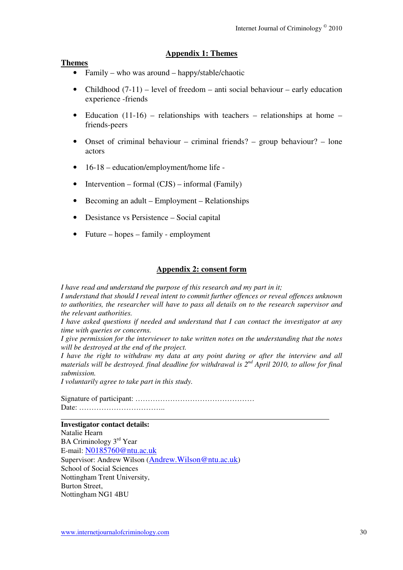### **Appendix 1: Themes**

#### **Themes**

- Family who was around happy/stable/chaotic
- Childhood  $(7-11)$  level of freedom anti social behaviour early education experience -friends
- Education  $(11-16)$  relationships with teachers relationships at home friends-peers
- Onset of criminal behaviour criminal friends? group behaviour? lone actors
- 16-18 education/employment/home life -
- Intervention formal (CJS) informal (Family)
- Becoming an adult Employment Relationships
- Desistance vs Persistence Social capital
- Future hopes family employment

### **Appendix 2: consent form**

*I have read and understand the purpose of this research and my part in it;* 

*I understand that should I reveal intent to commit further offences or reveal offences unknown to authorities, the researcher will have to pass all details on to the research supervisor and the relevant authorities.* 

*I have asked questions if needed and understand that I can contact the investigator at any time with queries or concerns.* 

*I give permission for the interviewer to take written notes on the understanding that the notes will be destroyed at the end of the project.* 

*I have the right to withdraw my data at any point during or after the interview and all materials will be destroyed. final deadline for withdrawal is 2nd April 2010, to allow for final submission.* 

*I voluntarily agree to take part in this study.* 

Signature of participant: ………………………………………… Date: ……………………………..

 $\overline{a}$ **Investigator contact details:**  Natalie Hearn BA Criminology 3rd Year E-mail: N0185760@ntu.ac.uk Supervisor: Andrew Wilson (Andrew.Wilson@ntu.ac.uk) School of Social Sciences Nottingham Trent University, Burton Street, Nottingham NG1 4BU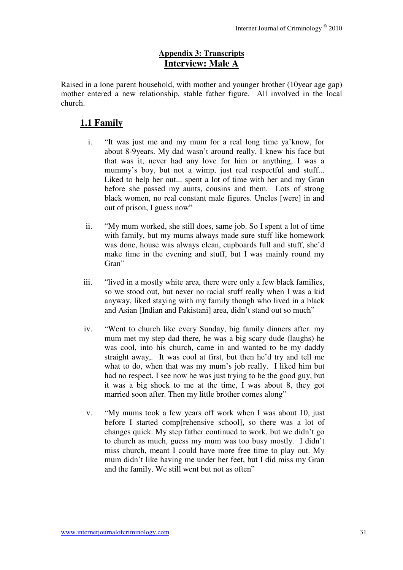# **Appendix 3: Transcripts Interview: Male A**

Raised in a lone parent household, with mother and younger brother (10year age gap) mother entered a new relationship, stable father figure. All involved in the local church.

# **1.1 Family**

- i. "It was just me and my mum for a real long time ya'know, for about 8-9years. My dad wasn't around really, I knew his face but that was it, never had any love for him or anything, I was a mummy's boy, but not a wimp, just real respectful and stuff... Liked to help her out... spent a lot of time with her and my Gran before she passed my aunts, cousins and them. Lots of strong black women, no real constant male figures. Uncles [were] in and out of prison, I guess now"
- ii. "My mum worked, she still does, same job. So I spent a lot of time with family, but my mums always made sure stuff like homework was done, house was always clean, cupboards full and stuff, she'd make time in the evening and stuff, but I was mainly round my Gran"
- iii. "lived in a mostly white area, there were only a few black families, so we stood out, but never no racial stuff really when I was a kid anyway, liked staying with my family though who lived in a black and Asian [Indian and Pakistani] area, didn't stand out so much"
- iv. "Went to church like every Sunday, big family dinners after. my mum met my step dad there, he was a big scary dude (laughs) he was cool, into his church, came in and wanted to be my daddy straight away,. It was cool at first, but then he'd try and tell me what to do, when that was my mum's job really. I liked him but had no respect. I see now he was just trying to be the good guy, but it was a big shock to me at the time, I was about 8, they got married soon after. Then my little brother comes along"
- v. "My mums took a few years off work when I was about 10, just before I started comp[rehensive school], so there was a lot of changes quick. My step father continued to work, but we didn't go to church as much, guess my mum was too busy mostly. I didn't miss church, meant I could have more free time to play out. My mum didn't like having me under her feet, but I did miss my Gran and the family. We still went but not as often"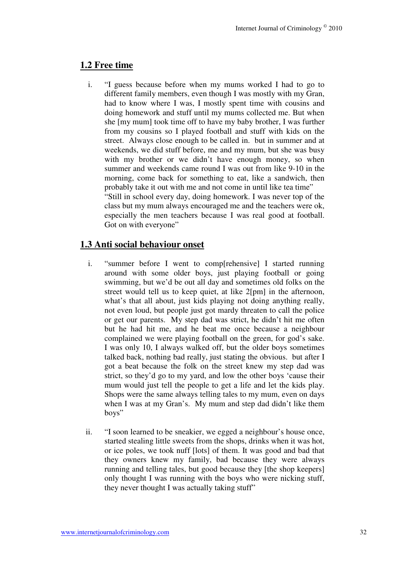# **1.2 Free time**

i. "I guess because before when my mums worked I had to go to different family members, even though I was mostly with my Gran, had to know where I was, I mostly spent time with cousins and doing homework and stuff until my mums collected me. But when she [my mum] took time off to have my baby brother, I was further from my cousins so I played football and stuff with kids on the street. Always close enough to be called in. but in summer and at weekends, we did stuff before, me and my mum, but she was busy with my brother or we didn't have enough money, so when summer and weekends came round I was out from like 9-10 in the morning, come back for something to eat, like a sandwich, then probably take it out with me and not come in until like tea time" "Still in school every day, doing homework. I was never top of the

class but my mum always encouraged me and the teachers were ok, especially the men teachers because I was real good at football. Got on with everyone"

# **1.3 Anti social behaviour onset**

- i. "summer before I went to comp[rehensive] I started running around with some older boys, just playing football or going swimming, but we'd be out all day and sometimes old folks on the street would tell us to keep quiet, at like 2[pm] in the afternoon, what's that all about, just kids playing not doing anything really, not even loud, but people just got mardy threaten to call the police or get our parents. My step dad was strict, he didn't hit me often but he had hit me, and he beat me once because a neighbour complained we were playing football on the green, for god's sake. I was only 10, I always walked off, but the older boys sometimes talked back, nothing bad really, just stating the obvious. but after I got a beat because the folk on the street knew my step dad was strict, so they'd go to my yard, and low the other boys 'cause their mum would just tell the people to get a life and let the kids play. Shops were the same always telling tales to my mum, even on days when I was at my Gran's. My mum and step dad didn't like them boys"
- ii. "I soon learned to be sneakier, we egged a neighbour's house once, started stealing little sweets from the shops, drinks when it was hot, or ice poles, we took nuff [lots] of them. It was good and bad that they owners knew my family, bad because they were always running and telling tales, but good because they [the shop keepers] only thought I was running with the boys who were nicking stuff, they never thought I was actually taking stuff"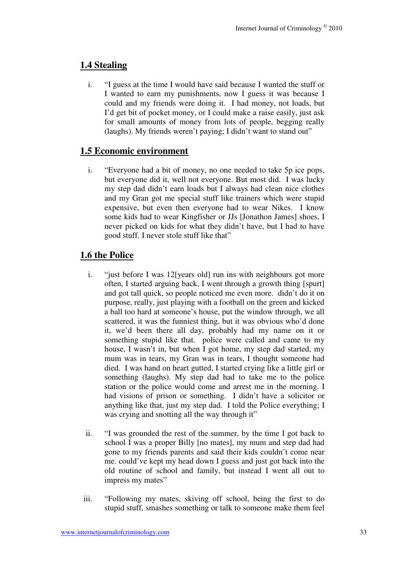# **1.4 Stealing**

i. "I guess at the time I would have said because I wanted the stuff or I wanted to earn my punishments, now I guess it was because I could and my friends were doing it. I had money, not loads, but I'd get bit of pocket money, or I could make a raise easily, just ask for small amounts of money from lots of people, begging really (laughs). My friends weren't paying; I didn't want to stand out"

# **1.5 Economic environment**

i. "Everyone had a bit of money, no one needed to take 5p ice pops, but everyone did it, well not everyone. But most did. I was lucky my step dad didn't earn loads but I always had clean nice clothes and my Gran got me special stuff like trainers which were stupid expensive, but even then everyone had to wear Nikes. I know some kids had to wear Kingfisher or JJs [Jonathon James] shoes, I never picked on kids for what they didn't have, but I had to have good stuff. I never stole stuff like that"

# **1.6 the Police**

- i. "just before I was 12[years old] run ins with neighbours got more often, I started arguing back, I went through a growth thing [spurt] and got tall quick, so people noticed me even more. didn't do it on purpose, really, just playing with a football on the green and kicked a ball too hard at someone's house, put the window through, we all scattered, it was the funniest thing, but it was obvious who'd done it, we'd been there all day, probably had my name on it or something stupid like that. police were called and came to my house, I wasn't in, but when I got home, my step dad started, my mum was in tears, my Gran was in tears, I thought someone had died. I was hand on heart gutted, I started crying like a little girl or something (laughs). My step dad had to take me to the police station or the police would come and arrest me in the morning. I had visions of prison or something. I didn't have a solicitor or anything like that, just my step dad. I told the Police everything; I was crying and snotting all the way through it"
- ii. "I was grounded the rest of the summer, by the time I got back to school I was a proper Billy [no mates], my mum and step dad had gone to my friends parents and said their kids couldn't come near me. could've kept my head down I guess and just got back into the old routine of school and family, but instead I went all out to impress my mates"
- iii. "Following my mates, skiving off school, being the first to do stupid stuff, smashes something or talk to someone make them feel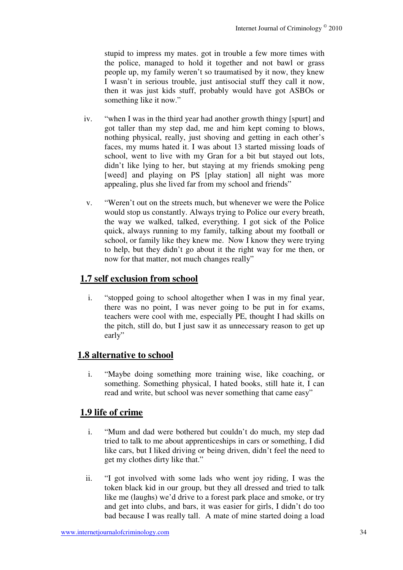stupid to impress my mates. got in trouble a few more times with the police, managed to hold it together and not bawl or grass people up, my family weren't so traumatised by it now, they knew I wasn't in serious trouble, just antisocial stuff they call it now, then it was just kids stuff, probably would have got ASBOs or something like it now."

- iv. "when I was in the third year had another growth thingy [spurt] and got taller than my step dad, me and him kept coming to blows, nothing physical, really, just shoving and getting in each other's faces, my mums hated it. I was about 13 started missing loads of school, went to live with my Gran for a bit but stayed out lots, didn't like lying to her, but staying at my friends smoking peng [weed] and playing on PS [play station] all night was more appealing, plus she lived far from my school and friends"
- v. "Weren't out on the streets much, but whenever we were the Police would stop us constantly. Always trying to Police our every breath, the way we walked, talked, everything. I got sick of the Police quick, always running to my family, talking about my football or school, or family like they knew me. Now I know they were trying to help, but they didn't go about it the right way for me then, or now for that matter, not much changes really"

# **1.7 self exclusion from school**

i. "stopped going to school altogether when I was in my final year, there was no point, I was never going to be put in for exams, teachers were cool with me, especially PE, thought I had skills on the pitch, still do, but I just saw it as unnecessary reason to get up early"

# **1.8 alternative to school**

i. "Maybe doing something more training wise, like coaching, or something. Something physical, I hated books, still hate it, I can read and write, but school was never something that came easy"

# **1.9 life of crime**

- i. "Mum and dad were bothered but couldn't do much, my step dad tried to talk to me about apprenticeships in cars or something, I did like cars, but I liked driving or being driven, didn't feel the need to get my clothes dirty like that."
- ii. "I got involved with some lads who went joy riding, I was the token black kid in our group, but they all dressed and tried to talk like me (laughs) we'd drive to a forest park place and smoke, or try and get into clubs, and bars, it was easier for girls, I didn't do too bad because I was really tall. A mate of mine started doing a load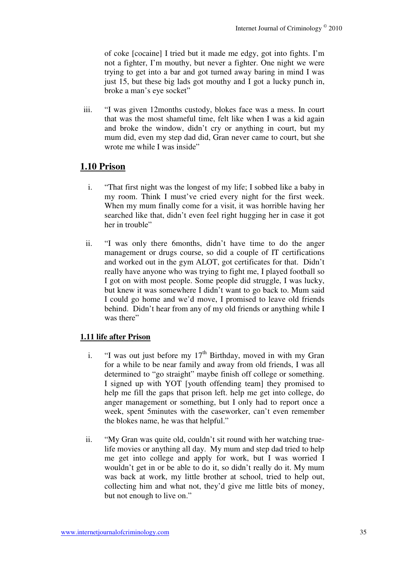of coke [cocaine] I tried but it made me edgy, got into fights. I'm not a fighter, I'm mouthy, but never a fighter. One night we were trying to get into a bar and got turned away baring in mind I was just 15, but these big lads got mouthy and I got a lucky punch in, broke a man's eye socket"

iii. "I was given 12months custody, blokes face was a mess. In court that was the most shameful time, felt like when I was a kid again and broke the window, didn't cry or anything in court, but my mum did, even my step dad did, Gran never came to court, but she wrote me while I was inside"

# **1.10 Prison**

- i. "That first night was the longest of my life; I sobbed like a baby in my room. Think I must've cried every night for the first week. When my mum finally come for a visit, it was horrible having her searched like that, didn't even feel right hugging her in case it got her in trouble"
- ii. "I was only there 6months, didn't have time to do the anger management or drugs course, so did a couple of IT certifications and worked out in the gym ALOT, got certificates for that. Didn't really have anyone who was trying to fight me, I played football so I got on with most people. Some people did struggle, I was lucky, but knew it was somewhere I didn't want to go back to. Mum said I could go home and we'd move, I promised to leave old friends behind. Didn't hear from any of my old friends or anything while I was there"

### **1.11 life after Prison**

- i. "I was out just before my  $17<sup>th</sup>$  Birthday, moved in with my Gran for a while to be near family and away from old friends, I was all determined to "go straight" maybe finish off college or something. I signed up with YOT [youth offending team] they promised to help me fill the gaps that prison left. help me get into college, do anger management or something, but I only had to report once a week, spent 5minutes with the caseworker, can't even remember the blokes name, he was that helpful."
- ii. "My Gran was quite old, couldn't sit round with her watching truelife movies or anything all day. My mum and step dad tried to help me get into college and apply for work, but I was worried I wouldn't get in or be able to do it, so didn't really do it. My mum was back at work, my little brother at school, tried to help out, collecting him and what not, they'd give me little bits of money, but not enough to live on."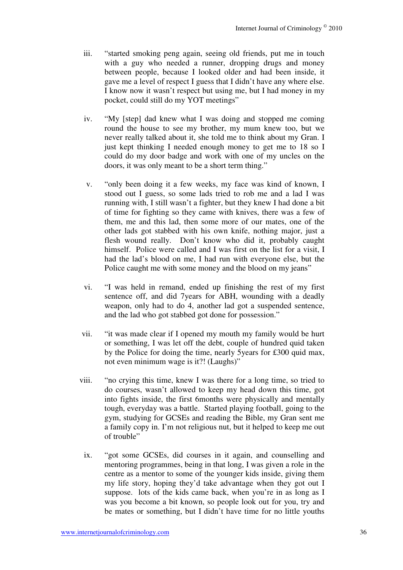- iii. "started smoking peng again, seeing old friends, put me in touch with a guy who needed a runner, dropping drugs and money between people, because I looked older and had been inside, it gave me a level of respect I guess that I didn't have any where else. I know now it wasn't respect but using me, but I had money in my pocket, could still do my YOT meetings"
- iv. "My [step] dad knew what I was doing and stopped me coming round the house to see my brother, my mum knew too, but we never really talked about it, she told me to think about my Gran. I just kept thinking I needed enough money to get me to 18 so I could do my door badge and work with one of my uncles on the doors, it was only meant to be a short term thing."
- v. "only been doing it a few weeks, my face was kind of known, I stood out I guess, so some lads tried to rob me and a lad I was running with, I still wasn't a fighter, but they knew I had done a bit of time for fighting so they came with knives, there was a few of them, me and this lad, then some more of our mates, one of the other lads got stabbed with his own knife, nothing major, just a flesh wound really. Don't know who did it, probably caught himself. Police were called and I was first on the list for a visit, I had the lad's blood on me, I had run with everyone else, but the Police caught me with some money and the blood on my jeans"
- vi. "I was held in remand, ended up finishing the rest of my first sentence off, and did 7years for ABH, wounding with a deadly weapon, only had to do 4, another lad got a suspended sentence, and the lad who got stabbed got done for possession."
- vii. "it was made clear if I opened my mouth my family would be hurt or something, I was let off the debt, couple of hundred quid taken by the Police for doing the time, nearly 5years for £300 quid max, not even minimum wage is it?! (Laughs)"
- viii. "no crying this time, knew I was there for a long time, so tried to do courses, wasn't allowed to keep my head down this time, got into fights inside, the first 6months were physically and mentally tough, everyday was a battle. Started playing football, going to the gym, studying for GCSEs and reading the Bible, my Gran sent me a family copy in. I'm not religious nut, but it helped to keep me out of trouble"
- ix. "got some GCSEs, did courses in it again, and counselling and mentoring programmes, being in that long, I was given a role in the centre as a mentor to some of the younger kids inside, giving them my life story, hoping they'd take advantage when they got out I suppose. lots of the kids came back, when you're in as long as I was you become a bit known, so people look out for you, try and be mates or something, but I didn't have time for no little youths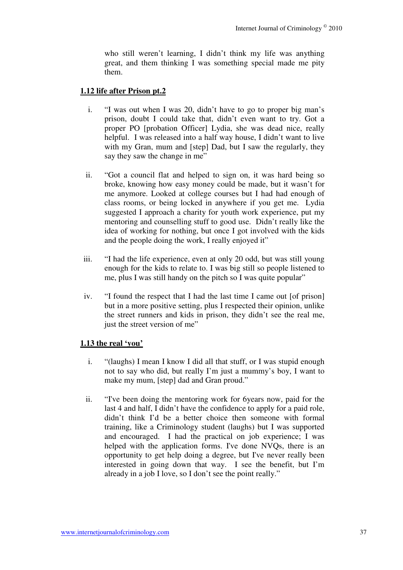who still weren't learning, I didn't think my life was anything great, and them thinking I was something special made me pity them.

### **1.12 life after Prison pt.2**

- i. "I was out when I was 20, didn't have to go to proper big man's prison, doubt I could take that, didn't even want to try. Got a proper PO [probation Officer] Lydia, she was dead nice, really helpful. I was released into a half way house, I didn't want to live with my Gran, mum and [step] Dad, but I saw the regularly, they say they saw the change in me"
- ii. "Got a council flat and helped to sign on, it was hard being so broke, knowing how easy money could be made, but it wasn't for me anymore. Looked at college courses but I had had enough of class rooms, or being locked in anywhere if you get me. Lydia suggested I approach a charity for youth work experience, put my mentoring and counselling stuff to good use. Didn't really like the idea of working for nothing, but once I got involved with the kids and the people doing the work, I really enjoyed it"
- iii. "I had the life experience, even at only 20 odd, but was still young enough for the kids to relate to. I was big still so people listened to me, plus I was still handy on the pitch so I was quite popular"
- iv. "I found the respect that I had the last time I came out [of prison] but in a more positive setting, plus I respected their opinion, unlike the street runners and kids in prison, they didn't see the real me, just the street version of me"

### **1.13 the real 'you'**

- i. "(laughs) I mean I know I did all that stuff, or I was stupid enough not to say who did, but really I'm just a mummy's boy, I want to make my mum, [step] dad and Gran proud."
- ii. "I've been doing the mentoring work for 6years now, paid for the last 4 and half, I didn't have the confidence to apply for a paid role, didn't think I'd be a better choice then someone with formal training, like a Criminology student (laughs) but I was supported and encouraged. I had the practical on job experience; I was helped with the application forms. I've done NVQs, there is an opportunity to get help doing a degree, but I've never really been interested in going down that way. I see the benefit, but I'm already in a job I love, so I don't see the point really."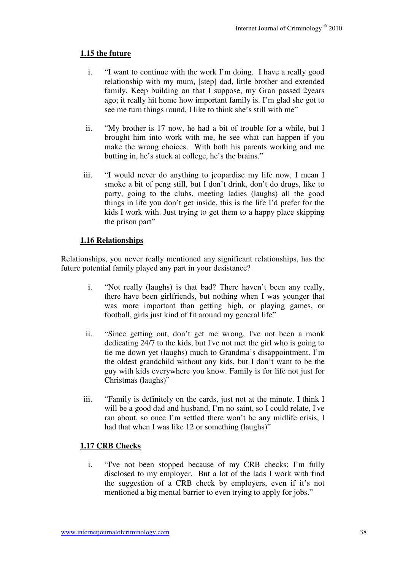### **1.15 the future**

- i. "I want to continue with the work I'm doing. I have a really good relationship with my mum, [step] dad, little brother and extended family. Keep building on that I suppose, my Gran passed 2years ago; it really hit home how important family is. I'm glad she got to see me turn things round, I like to think she's still with me"
- ii. "My brother is 17 now, he had a bit of trouble for a while, but I brought him into work with me, he see what can happen if you make the wrong choices. With both his parents working and me butting in, he's stuck at college, he's the brains."
- iii. "I would never do anything to jeopardise my life now, I mean I smoke a bit of peng still, but I don't drink, don't do drugs, like to party, going to the clubs, meeting ladies (laughs) all the good things in life you don't get inside, this is the life I'd prefer for the kids I work with. Just trying to get them to a happy place skipping the prison part"

### **1.16 Relationships**

Relationships, you never really mentioned any significant relationships, has the future potential family played any part in your desistance?

- i. "Not really (laughs) is that bad? There haven't been any really, there have been girlfriends, but nothing when I was younger that was more important than getting high, or playing games, or football, girls just kind of fit around my general life"
- ii. "Since getting out, don't get me wrong, I've not been a monk dedicating 24/7 to the kids, but I've not met the girl who is going to tie me down yet (laughs) much to Grandma's disappointment. I'm the oldest grandchild without any kids, but I don't want to be the guy with kids everywhere you know. Family is for life not just for Christmas (laughs)"
- iii. "Family is definitely on the cards, just not at the minute. I think I will be a good dad and husband, I'm no saint, so I could relate, I've ran about, so once I'm settled there won't be any midlife crisis, I had that when I was like 12 or something (laughs)"

### **1.17 CRB Checks**

i. "I've not been stopped because of my CRB checks; I'm fully disclosed to my employer. But a lot of the lads I work with find the suggestion of a CRB check by employers, even if it's not mentioned a big mental barrier to even trying to apply for jobs."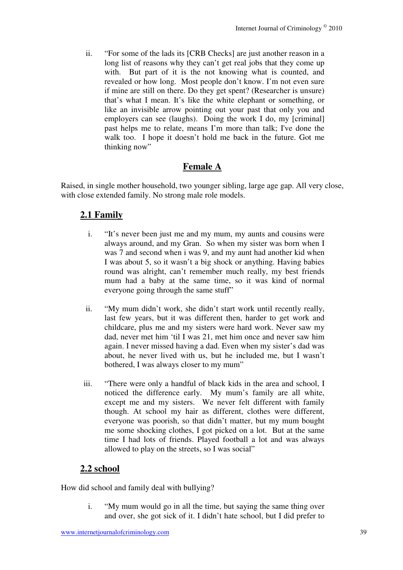ii. "For some of the lads its [CRB Checks] are just another reason in a long list of reasons why they can't get real jobs that they come up with. But part of it is the not knowing what is counted, and revealed or how long. Most people don't know. I'm not even sure if mine are still on there. Do they get spent? (Researcher is unsure) that's what I mean. It's like the white elephant or something, or like an invisible arrow pointing out your past that only you and employers can see (laughs). Doing the work I do, my [criminal] past helps me to relate, means I'm more than talk; I've done the walk too. I hope it doesn't hold me back in the future. Got me thinking now"

# **Female A**

Raised, in single mother household, two younger sibling, large age gap. All very close, with close extended family. No strong male role models.

# **2.1 Family**

- i. "It's never been just me and my mum, my aunts and cousins were always around, and my Gran. So when my sister was born when I was 7 and second when i was 9, and my aunt had another kid when I was about 5, so it wasn't a big shock or anything. Having babies round was alright, can't remember much really, my best friends mum had a baby at the same time, so it was kind of normal everyone going through the same stuff"
- ii. "My mum didn't work, she didn't start work until recently really, last few years, but it was different then, harder to get work and childcare, plus me and my sisters were hard work. Never saw my dad, never met him 'til I was 21, met him once and never saw him again. I never missed having a dad. Even when my sister's dad was about, he never lived with us, but he included me, but I wasn't bothered, I was always closer to my mum"
- iii. "There were only a handful of black kids in the area and school, I noticed the difference early. My mum's family are all white, except me and my sisters. We never felt different with family though. At school my hair as different, clothes were different, everyone was poorish, so that didn't matter, but my mum bought me some shocking clothes, I got picked on a lot. But at the same time I had lots of friends. Played football a lot and was always allowed to play on the streets, so I was social"

# **2.2 school**

How did school and family deal with bullying?

i. "My mum would go in all the time, but saying the same thing over and over, she got sick of it. I didn't hate school, but I did prefer to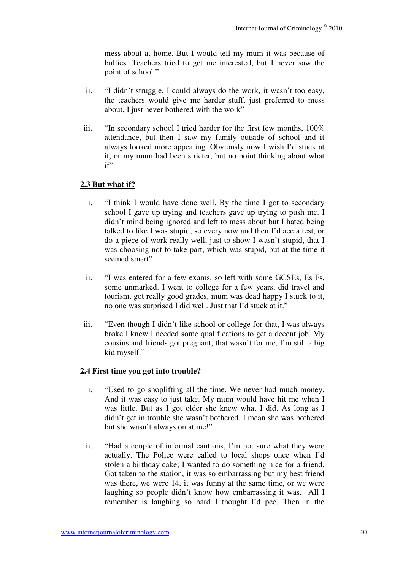mess about at home. But I would tell my mum it was because of bullies. Teachers tried to get me interested, but I never saw the point of school."

- ii. "I didn't struggle, I could always do the work, it wasn't too easy, the teachers would give me harder stuff, just preferred to mess about, I just never bothered with the work"
- iii. "In secondary school I tried harder for the first few months, 100% attendance, but then I saw my family outside of school and it always looked more appealing. Obviously now I wish I'd stuck at it, or my mum had been stricter, but no point thinking about what if"

### **2.3 But what if?**

- i. "I think I would have done well. By the time I got to secondary school I gave up trying and teachers gave up trying to push me. I didn't mind being ignored and left to mess about but I hated being talked to like I was stupid, so every now and then I'd ace a test, or do a piece of work really well, just to show I wasn't stupid, that I was choosing not to take part, which was stupid, but at the time it seemed smart"
- ii. "I was entered for a few exams, so left with some GCSEs, Es Fs, some unmarked. I went to college for a few years, did travel and tourism, got really good grades, mum was dead happy I stuck to it, no one was surprised I did well. Just that I'd stuck at it."
- iii. "Even though I didn't like school or college for that, I was always broke I knew I needed some qualifications to get a decent job. My cousins and friends got pregnant, that wasn't for me, I'm still a big kid myself."

### **2.4 First time you got into trouble?**

- i. "Used to go shoplifting all the time. We never had much money. And it was easy to just take. My mum would have hit me when I was little. But as I got older she knew what I did. As long as I didn't get in trouble she wasn't bothered. I mean she was bothered but she wasn't always on at me!"
- ii. "Had a couple of informal cautions, I'm not sure what they were actually. The Police were called to local shops once when I'd stolen a birthday cake; I wanted to do something nice for a friend. Got taken to the station, it was so embarrassing but my best friend was there, we were 14, it was funny at the same time, or we were laughing so people didn't know how embarrassing it was. All I remember is laughing so hard I thought I'd pee. Then in the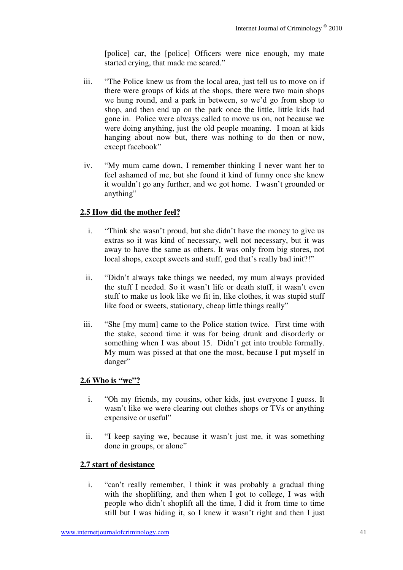[police] car, the [police] Officers were nice enough, my mate started crying, that made me scared."

- iii. "The Police knew us from the local area, just tell us to move on if there were groups of kids at the shops, there were two main shops we hung round, and a park in between, so we'd go from shop to shop, and then end up on the park once the little, little kids had gone in. Police were always called to move us on, not because we were doing anything, just the old people moaning. I moan at kids hanging about now but, there was nothing to do then or now, except facebook"
- iv. "My mum came down, I remember thinking I never want her to feel ashamed of me, but she found it kind of funny once she knew it wouldn't go any further, and we got home. I wasn't grounded or anything"

### **2.5 How did the mother feel?**

- i. "Think she wasn't proud, but she didn't have the money to give us extras so it was kind of necessary, well not necessary, but it was away to have the same as others. It was only from big stores, not local shops, except sweets and stuff, god that's really bad init?!"
- ii. "Didn't always take things we needed, my mum always provided the stuff I needed. So it wasn't life or death stuff, it wasn't even stuff to make us look like we fit in, like clothes, it was stupid stuff like food or sweets, stationary, cheap little things really"
- iii. "She [my mum] came to the Police station twice. First time with the stake, second time it was for being drunk and disorderly or something when I was about 15. Didn't get into trouble formally. My mum was pissed at that one the most, because I put myself in danger"

### **2.6 Who is "we"?**

- i. "Oh my friends, my cousins, other kids, just everyone I guess. It wasn't like we were clearing out clothes shops or TVs or anything expensive or useful"
- ii. "I keep saying we, because it wasn't just me, it was something done in groups, or alone"

### **2.7 start of desistance**

i. "can't really remember, I think it was probably a gradual thing with the shoplifting, and then when I got to college, I was with people who didn't shoplift all the time, I did it from time to time still but I was hiding it, so I knew it wasn't right and then I just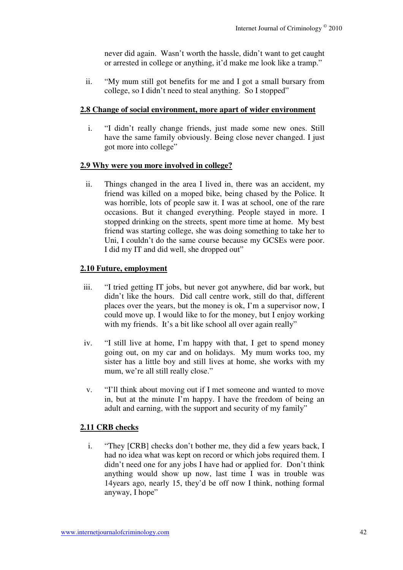never did again. Wasn't worth the hassle, didn't want to get caught or arrested in college or anything, it'd make me look like a tramp."

ii. "My mum still got benefits for me and I got a small bursary from college, so I didn't need to steal anything. So I stopped"

### **2.8 Change of social environment, more apart of wider environment**

i. "I didn't really change friends, just made some new ones. Still have the same family obviously. Being close never changed. I just got more into college"

### **2.9 Why were you more involved in college?**

ii. Things changed in the area I lived in, there was an accident, my friend was killed on a moped bike, being chased by the Police. It was horrible, lots of people saw it. I was at school, one of the rare occasions. But it changed everything. People stayed in more. I stopped drinking on the streets, spent more time at home. My best friend was starting college, she was doing something to take her to Uni, I couldn't do the same course because my GCSEs were poor. I did my IT and did well, she dropped out"

#### **2.10 Future, employment**

- iii. "I tried getting IT jobs, but never got anywhere, did bar work, but didn't like the hours. Did call centre work, still do that, different places over the years, but the money is ok, I'm a supervisor now, I could move up. I would like to for the money, but I enjoy working with my friends. It's a bit like school all over again really"
- iv. "I still live at home, I'm happy with that, I get to spend money going out, on my car and on holidays. My mum works too, my sister has a little boy and still lives at home, she works with my mum, we're all still really close."
- v. "I'll think about moving out if I met someone and wanted to move in, but at the minute I'm happy. I have the freedom of being an adult and earning, with the support and security of my family"

### **2.11 CRB checks**

i. "They [CRB] checks don't bother me, they did a few years back, I had no idea what was kept on record or which jobs required them. I didn't need one for any jobs I have had or applied for. Don't think anything would show up now, last time I was in trouble was 14years ago, nearly 15, they'd be off now I think, nothing formal anyway, I hope"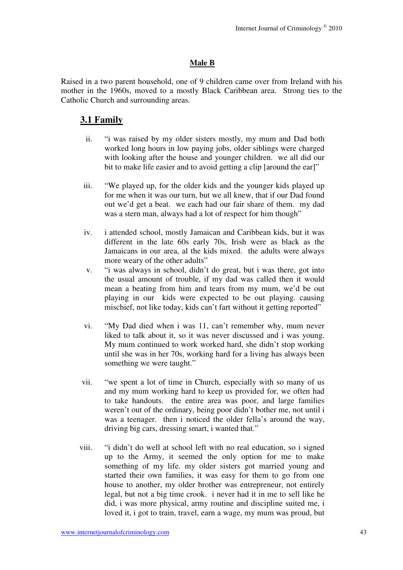### **Male B**

Raised in a two parent household, one of 9 children came over from Ireland with his mother in the 1960s, moved to a mostly Black Caribbean area. Strong ties to the Catholic Church and surrounding areas.

# **3.1 Family**

- ii. "i was raised by my older sisters mostly, my mum and Dad both worked long hours in low paying jobs, older siblings were charged with looking after the house and younger children. we all did our bit to make life easier and to avoid getting a clip [around the ear]"
- iii. "We played up, for the older kids and the younger kids played up for me when it was our turn, but we all knew, that if our Dad found out we'd get a beat. we each had our fair share of them. my dad was a stern man, always had a lot of respect for him though"
- iv. i attended school, mostly Jamaican and Caribbean kids, but it was different in the late 60s early 70s, Irish were as black as the Jamaicans in our area, al the kids mixed. the adults were always more weary of the other adults"
- v. "i was always in school, didn't do great, but i was there, got into the usual amount of trouble, if my dad was called then it would mean a beating from him and tears from my mum, we'd be out playing in our kids were expected to be out playing. causing mischief, not like today, kids can't fart without it getting reported"
- vi. "My Dad died when i was 11, can't remember why, mum never liked to talk about it, so it was never discussed and i was young. My mum continued to work worked hard, she didn't stop working until she was in her 70s, working hard for a living has always been something we were taught."
- vii. "we spent a lot of time in Church, especially with so many of us and my mum working hard to keep us provided for, we often had to take handouts. the entire area was poor, and large families weren't out of the ordinary, being poor didn't bother me, not until i was a teenager. then i noticed the older fella's around the way, driving big cars, dressing smart, i wanted that."
- viii. "i didn't do well at school left with no real education, so i signed up to the Army, it seemed the only option for me to make something of my life. my older sisters got married young and started their own families, it was easy for them to go from one house to another, my older brother was entrepreneur, not entirely legal, but not a big time crook. i never had it in me to sell like he did, i was more physical, army routine and discipline suited me, i loved it, i got to train, travel, earn a wage, my mum was proud, but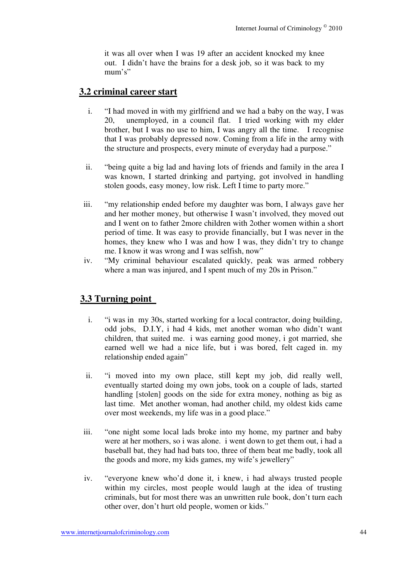it was all over when I was 19 after an accident knocked my knee out. I didn't have the brains for a desk job, so it was back to my mum's"

### **3.2 criminal career start**

- i. "I had moved in with my girlfriend and we had a baby on the way, I was 20, unemployed, in a council flat. I tried working with my elder brother, but I was no use to him, I was angry all the time. I recognise that I was probably depressed now. Coming from a life in the army with the structure and prospects, every minute of everyday had a purpose."
- ii. "being quite a big lad and having lots of friends and family in the area I was known, I started drinking and partying, got involved in handling stolen goods, easy money, low risk. Left I time to party more."
- iii. "my relationship ended before my daughter was born, I always gave her and her mother money, but otherwise I wasn't involved, they moved out and I went on to father 2more children with 2other women within a short period of time. It was easy to provide financially, but I was never in the homes, they knew who I was and how I was, they didn't try to change me. I know it was wrong and I was selfish, now"
- iv. "My criminal behaviour escalated quickly, peak was armed robbery where a man was injured, and I spent much of my 20s in Prison."

# **3.3 Turning point**

- i. "i was in my 30s, started working for a local contractor, doing building, odd jobs, D.I.Y, i had 4 kids, met another woman who didn't want children, that suited me. i was earning good money, i got married, she earned well we had a nice life, but i was bored, felt caged in. my relationship ended again"
- ii. "i moved into my own place, still kept my job, did really well, eventually started doing my own jobs, took on a couple of lads, started handling [stolen] goods on the side for extra money, nothing as big as last time. Met another woman, had another child, my oldest kids came over most weekends, my life was in a good place."
- iii. "one night some local lads broke into my home, my partner and baby were at her mothers, so i was alone. i went down to get them out, i had a baseball bat, they had had bats too, three of them beat me badly, took all the goods and more, my kids games, my wife's jewellery"
- iv. "everyone knew who'd done it, i knew, i had always trusted people within my circles, most people would laugh at the idea of trusting criminals, but for most there was an unwritten rule book, don't turn each other over, don't hurt old people, women or kids."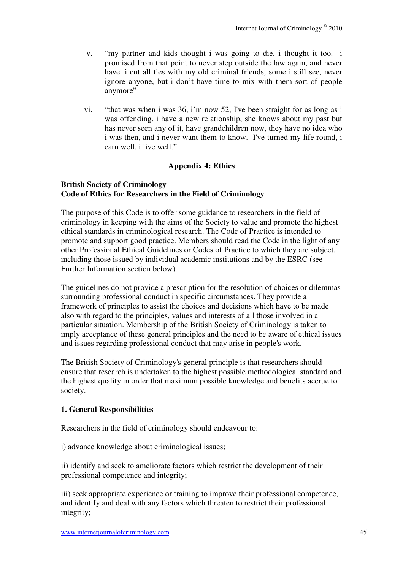- v. "my partner and kids thought i was going to die, i thought it too. i promised from that point to never step outside the law again, and never have. i cut all ties with my old criminal friends, some i still see, never ignore anyone, but i don't have time to mix with them sort of people anymore"
- vi. "that was when i was 36, i'm now 52, I've been straight for as long as i was offending. i have a new relationship, she knows about my past but has never seen any of it, have grandchildren now, they have no idea who i was then, and i never want them to know. I've turned my life round, i earn well, i live well."

### **Appendix 4: Ethics**

### **British Society of Criminology Code of Ethics for Researchers in the Field of Criminology**

The purpose of this Code is to offer some guidance to researchers in the field of criminology in keeping with the aims of the Society to value and promote the highest ethical standards in criminological research. The Code of Practice is intended to promote and support good practice. Members should read the Code in the light of any other Professional Ethical Guidelines or Codes of Practice to which they are subject, including those issued by individual academic institutions and by the ESRC (see Further Information section below).

The guidelines do not provide a prescription for the resolution of choices or dilemmas surrounding professional conduct in specific circumstances. They provide a framework of principles to assist the choices and decisions which have to be made also with regard to the principles, values and interests of all those involved in a particular situation. Membership of the British Society of Criminology is taken to imply acceptance of these general principles and the need to be aware of ethical issues and issues regarding professional conduct that may arise in people's work.

The British Society of Criminology's general principle is that researchers should ensure that research is undertaken to the highest possible methodological standard and the highest quality in order that maximum possible knowledge and benefits accrue to society.

### **1. General Responsibilities**

Researchers in the field of criminology should endeavour to:

i) advance knowledge about criminological issues;

ii) identify and seek to ameliorate factors which restrict the development of their professional competence and integrity;

iii) seek appropriate experience or training to improve their professional competence, and identify and deal with any factors which threaten to restrict their professional integrity;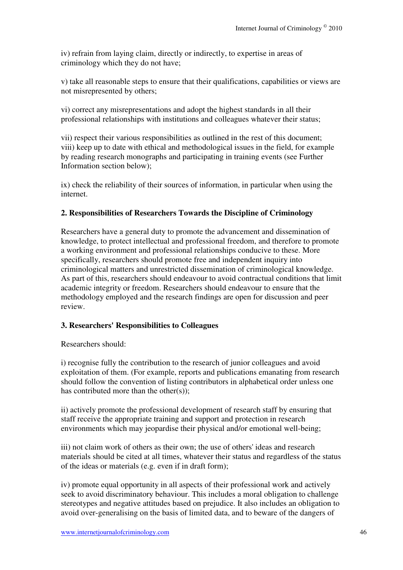iv) refrain from laying claim, directly or indirectly, to expertise in areas of criminology which they do not have;

v) take all reasonable steps to ensure that their qualifications, capabilities or views are not misrepresented by others;

vi) correct any misrepresentations and adopt the highest standards in all their professional relationships with institutions and colleagues whatever their status;

vii) respect their various responsibilities as outlined in the rest of this document; viii) keep up to date with ethical and methodological issues in the field, for example by reading research monographs and participating in training events (see Further Information section below);

ix) check the reliability of their sources of information, in particular when using the internet.

### **2. Responsibilities of Researchers Towards the Discipline of Criminology**

Researchers have a general duty to promote the advancement and dissemination of knowledge, to protect intellectual and professional freedom, and therefore to promote a working environment and professional relationships conducive to these. More specifically, researchers should promote free and independent inquiry into criminological matters and unrestricted dissemination of criminological knowledge. As part of this, researchers should endeavour to avoid contractual conditions that limit academic integrity or freedom. Researchers should endeavour to ensure that the methodology employed and the research findings are open for discussion and peer review.

### **3. Researchers' Responsibilities to Colleagues**

Researchers should:

i) recognise fully the contribution to the research of junior colleagues and avoid exploitation of them. (For example, reports and publications emanating from research should follow the convention of listing contributors in alphabetical order unless one has contributed more than the other(s));

ii) actively promote the professional development of research staff by ensuring that staff receive the appropriate training and support and protection in research environments which may jeopardise their physical and/or emotional well-being;

iii) not claim work of others as their own; the use of others' ideas and research materials should be cited at all times, whatever their status and regardless of the status of the ideas or materials (e.g. even if in draft form);

iv) promote equal opportunity in all aspects of their professional work and actively seek to avoid discriminatory behaviour. This includes a moral obligation to challenge stereotypes and negative attitudes based on prejudice. It also includes an obligation to avoid over-generalising on the basis of limited data, and to beware of the dangers of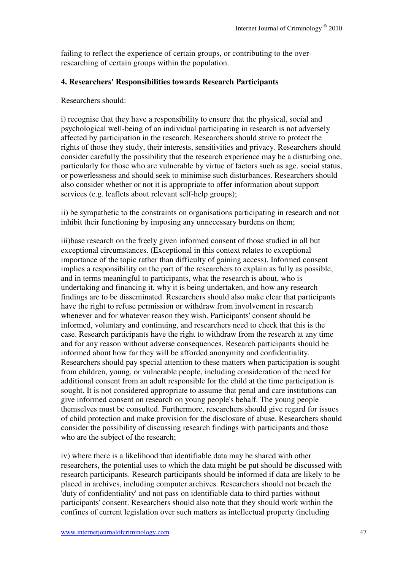failing to reflect the experience of certain groups, or contributing to the overresearching of certain groups within the population.

### **4. Researchers' Responsibilities towards Research Participants**

Researchers should:

i) recognise that they have a responsibility to ensure that the physical, social and psychological well-being of an individual participating in research is not adversely affected by participation in the research. Researchers should strive to protect the rights of those they study, their interests, sensitivities and privacy. Researchers should consider carefully the possibility that the research experience may be a disturbing one, particularly for those who are vulnerable by virtue of factors such as age, social status, or powerlessness and should seek to minimise such disturbances. Researchers should also consider whether or not it is appropriate to offer information about support services (e.g. leaflets about relevant self-help groups);

ii) be sympathetic to the constraints on organisations participating in research and not inhibit their functioning by imposing any unnecessary burdens on them;

iii)base research on the freely given informed consent of those studied in all but exceptional circumstances. (Exceptional in this context relates to exceptional importance of the topic rather than difficulty of gaining access). Informed consent implies a responsibility on the part of the researchers to explain as fully as possible, and in terms meaningful to participants, what the research is about, who is undertaking and financing it, why it is being undertaken, and how any research findings are to be disseminated. Researchers should also make clear that participants have the right to refuse permission or withdraw from involvement in research whenever and for whatever reason they wish. Participants' consent should be informed, voluntary and continuing, and researchers need to check that this is the case. Research participants have the right to withdraw from the research at any time and for any reason without adverse consequences. Research participants should be informed about how far they will be afforded anonymity and confidentiality. Researchers should pay special attention to these matters when participation is sought from children, young, or vulnerable people, including consideration of the need for additional consent from an adult responsible for the child at the time participation is sought. It is not considered appropriate to assume that penal and care institutions can give informed consent on research on young people's behalf. The young people themselves must be consulted. Furthermore, researchers should give regard for issues of child protection and make provision for the disclosure of abuse. Researchers should consider the possibility of discussing research findings with participants and those who are the subject of the research;

iv) where there is a likelihood that identifiable data may be shared with other researchers, the potential uses to which the data might be put should be discussed with research participants. Research participants should be informed if data are likely to be placed in archives, including computer archives. Researchers should not breach the 'duty of confidentiality' and not pass on identifiable data to third parties without participants' consent. Researchers should also note that they should work within the confines of current legislation over such matters as intellectual property (including